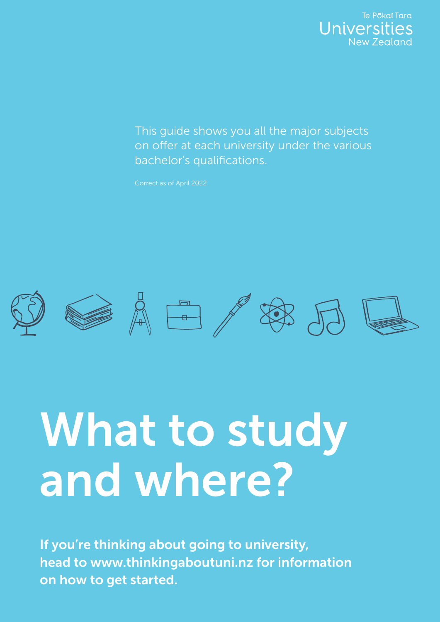

This guide shows you all the major subjects on offer at each university under the various bachelor's qualifications.

Correct as of April 2022



## What to study and where?

If you're thinking about going to university, head to www.thinkingaboutuni.nz for information on how to get started.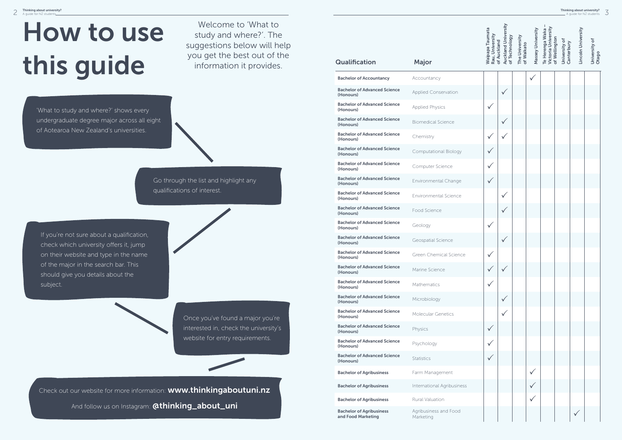| <b>Qualification</b>                                  | Major                              | Wain<br>Rau,<br>Auck<br>of Te | The I | Mass | ⊾<br>م⊺ |
|-------------------------------------------------------|------------------------------------|-------------------------------|-------|------|---------|
| <b>Bachelor of Accountancy</b>                        | Accountancy                        |                               |       |      |         |
| <b>Bachelor of Advanced Science</b><br>(Honours)      | <b>Applied Conservation</b>        |                               |       |      |         |
| <b>Bachelor of Advanced Science</b><br>(Honours)      | <b>Applied Physics</b>             |                               |       |      |         |
| <b>Bachelor of Advanced Science</b><br>(Honours)      | <b>Biomedical Science</b>          |                               |       |      |         |
| <b>Bachelor of Advanced Science</b><br>(Honours)      | Chemistry                          |                               |       |      |         |
| <b>Bachelor of Advanced Science</b><br>(Honours)      | <b>Computational Biology</b>       |                               |       |      |         |
| <b>Bachelor of Advanced Science</b><br>(Honours)      | Computer Science                   |                               |       |      |         |
| <b>Bachelor of Advanced Science</b><br>(Honours)      | Environmental Change               |                               |       |      |         |
| <b>Bachelor of Advanced Science</b><br>(Honours)      | Environmental Science              |                               |       |      |         |
| <b>Bachelor of Advanced Science</b><br>(Honours)      | Food Science                       |                               |       |      |         |
| <b>Bachelor of Advanced Science</b><br>(Honours)      | Geology                            |                               |       |      |         |
| <b>Bachelor of Advanced Science</b><br>(Honours)      | Geospatial Science                 |                               |       |      |         |
| <b>Bachelor of Advanced Science</b><br>(Honours)      | Green Chemical Science             |                               |       |      |         |
| <b>Bachelor of Advanced Science</b><br>(Honours)      | Marine Science                     |                               |       |      |         |
| <b>Bachelor of Advanced Science</b><br>(Honours)      | Mathematics                        |                               |       |      |         |
| <b>Bachelor of Advanced Science</b><br>(Honours)      | Microbiology                       |                               |       |      |         |
| <b>Bachelor of Advanced Science</b><br>(Honours)      | Molecular Genetics                 |                               |       |      |         |
| <b>Bachelor of Advanced Science</b><br>(Honours)      | Physics                            |                               |       |      |         |
| <b>Bachelor of Advanced Science</b><br>(Honours)      | Psychology                         |                               |       |      |         |
| <b>Bachelor of Advanced Science</b><br>(Honours)      | <b>Statistics</b>                  |                               |       |      |         |
| <b>Bachelor of Agribusiness</b>                       | Farm Management                    |                               |       |      |         |
| <b>Bachelor of Agribusiness</b>                       | International Agribusiness         |                               |       |      |         |
| <b>Bachelor of Agribusiness</b>                       | <b>Rural Valuation</b>             |                               |       |      |         |
| <b>Bachelor of Agribusiness</b><br>and Food Marketing | Agribusiness and Food<br>Marketing |                               |       |      |         |

Go through the list and highlight any qualifications of interest.

If you're not sure about a qualification, check which university offers it, jump on their website and type in the name of the major in the search bar. This should give you details about the subject.



## How to use this guide

Welcome to 'What to study and where?'. The suggestions below will help you get the best out of the information it provides.

'What to study and where?' shows every undergraduate degree major across all eight of Aotearoa New Zealand's universities.

> Once you've found a major you're interested in, check the university's website for entry requirements.

Check out our website for more information: **www.thinkingaboutuni.nz** And follow us on Instagram: **@thinking\_about\_uni**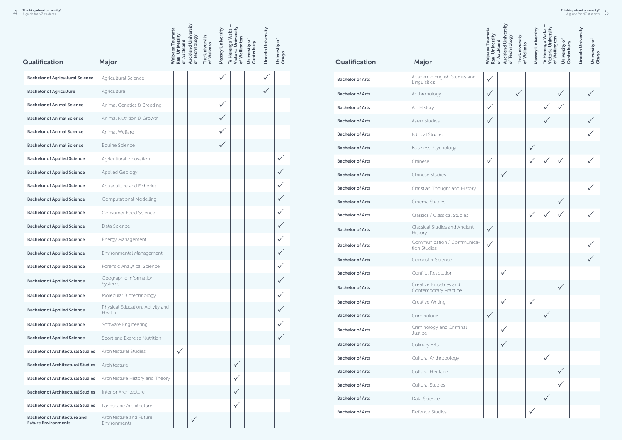|                                                                   |                                                   | Waipapa Taumata                | <b>Auckland University</b> |                              | Massey University | Victoria University<br>Te Herenga Waka |                             | Lincoln University |                        |
|-------------------------------------------------------------------|---------------------------------------------------|--------------------------------|----------------------------|------------------------------|-------------------|----------------------------------------|-----------------------------|--------------------|------------------------|
|                                                                   |                                                   | Rau, University<br>of Auckland | of Technology              | The University<br>of Waikato |                   | of Wellington                          | University of<br>Canterbury |                    | University of<br>Otago |
| Qualification                                                     | <b>Major</b>                                      |                                |                            |                              |                   |                                        |                             |                    |                        |
| <b>Bachelor of Agricultural Science</b>                           | Agricultural Science                              |                                |                            |                              | $\checkmark$      |                                        |                             | $\checkmark$       |                        |
| <b>Bachelor of Agriculture</b>                                    | Agriculture                                       |                                |                            |                              |                   |                                        |                             | $\checkmark$       |                        |
| <b>Bachelor of Animal Science</b>                                 | Animal Genetics & Breeding                        |                                |                            |                              | $\checkmark$      |                                        |                             |                    |                        |
| <b>Bachelor of Animal Science</b>                                 | Animal Nutrition & Growth                         |                                |                            |                              | $\checkmark$      |                                        |                             |                    |                        |
| <b>Bachelor of Animal Science</b>                                 | Animal Welfare                                    |                                |                            |                              |                   |                                        |                             |                    |                        |
| <b>Bachelor of Animal Science</b>                                 | Equine Science                                    |                                |                            |                              | $\checkmark$      |                                        |                             |                    |                        |
| <b>Bachelor of Applied Science</b>                                | Agricultural Innovation                           |                                |                            |                              |                   |                                        |                             |                    |                        |
| <b>Bachelor of Applied Science</b>                                | Applied Geology                                   |                                |                            |                              |                   |                                        |                             |                    | $\checkmark$           |
| <b>Bachelor of Applied Science</b>                                | Aquaculture and Fisheries                         |                                |                            |                              |                   |                                        |                             |                    |                        |
| <b>Bachelor of Applied Science</b>                                | <b>Computational Modelling</b>                    |                                |                            |                              |                   |                                        |                             |                    |                        |
| <b>Bachelor of Applied Science</b>                                | Consumer Food Science                             |                                |                            |                              |                   |                                        |                             |                    |                        |
| <b>Bachelor of Applied Science</b>                                | Data Science                                      |                                |                            |                              |                   |                                        |                             |                    |                        |
| <b>Bachelor of Applied Science</b>                                | Energy Management                                 |                                |                            |                              |                   |                                        |                             |                    |                        |
| <b>Bachelor of Applied Science</b>                                | Environmental Management                          |                                |                            |                              |                   |                                        |                             |                    |                        |
| <b>Bachelor of Applied Science</b>                                | Forensic Analytical Science                       |                                |                            |                              |                   |                                        |                             |                    |                        |
| <b>Bachelor of Applied Science</b>                                | Geographic Information<br>Systems                 |                                |                            |                              |                   |                                        |                             |                    |                        |
| <b>Bachelor of Applied Science</b>                                | Molecular Biotechnology                           |                                |                            |                              |                   |                                        |                             |                    |                        |
| <b>Bachelor of Applied Science</b>                                | Physical Education, Activity and<br><b>Health</b> |                                |                            |                              |                   |                                        |                             |                    | $\checkmark$           |
| <b>Bachelor of Applied Science</b>                                | Software Engineering                              |                                |                            |                              |                   |                                        |                             |                    |                        |
| <b>Bachelor of Applied Science</b>                                | Sport and Exercise Nutrition                      |                                |                            |                              |                   |                                        |                             |                    |                        |
| <b>Bachelor of Architectural Studies</b>                          | Architectural Studies                             | $\checkmark$                   |                            |                              |                   |                                        |                             |                    |                        |
| <b>Bachelor of Architectural Studies</b>                          | Architecture                                      |                                |                            |                              |                   | $\checkmark$                           |                             |                    |                        |
| <b>Bachelor of Architectural Studies</b>                          | Architecture History and Theory                   |                                |                            |                              |                   |                                        |                             |                    |                        |
| <b>Bachelor of Architectural Studies</b>                          | Interior Architecture                             |                                |                            |                              |                   | $\checkmark$                           |                             |                    |                        |
| <b>Bachelor of Architectural Studies</b>                          | Landscape Architecture                            |                                |                            |                              |                   |                                        |                             |                    |                        |
| <b>Bachelor of Architecture and</b><br><b>Future Environments</b> | Architecture and Future<br>Environments           |                                | $\checkmark$               |                              |                   |                                        |                             |                    |                        |

|                         |                                                  | <b>Waipapa Taumata</b><br>Rau, University | <b>Auckland University</b><br>of Technology<br>of Auckland | The University<br>of Waikato | Massey University | Victoria University<br>Te Herenga Waka | of Wellington<br>University of<br>Canterbury | Lincoln University | University of<br>Otago |
|-------------------------|--------------------------------------------------|-------------------------------------------|------------------------------------------------------------|------------------------------|-------------------|----------------------------------------|----------------------------------------------|--------------------|------------------------|
| Qualification           | <b>Major</b>                                     |                                           |                                                            |                              |                   |                                        |                                              |                    |                        |
| <b>Bachelor of Arts</b> | Academic English Studies and<br>Linguisitics     | $\checkmark$                              |                                                            |                              |                   |                                        |                                              |                    |                        |
| <b>Bachelor of Arts</b> | Anthropology                                     | $\checkmark$                              |                                                            | $\checkmark$                 |                   |                                        | ✓                                            |                    |                        |
| <b>Bachelor of Arts</b> | Art History                                      | $\checkmark$                              |                                                            |                              |                   |                                        |                                              |                    |                        |
| <b>Bachelor of Arts</b> | Asian Studies                                    | $\checkmark$                              |                                                            |                              |                   | ✓                                      |                                              |                    |                        |
| <b>Bachelor of Arts</b> | <b>Biblical Studies</b>                          |                                           |                                                            |                              |                   |                                        |                                              |                    |                        |
| <b>Bachelor of Arts</b> | <b>Business Psychology</b>                       |                                           |                                                            |                              | ✓                 |                                        |                                              |                    |                        |
| <b>Bachelor of Arts</b> | Chinese                                          | $\checkmark$                              |                                                            |                              |                   | $\checkmark$                           | $\checkmark$                                 |                    |                        |
| <b>Bachelor of Arts</b> | Chinese Studies                                  |                                           | $\checkmark$                                               |                              |                   |                                        |                                              |                    |                        |
| <b>Bachelor of Arts</b> | Christian Thought and History                    |                                           |                                                            |                              |                   |                                        |                                              |                    |                        |
| <b>Bachelor of Arts</b> | Cinema Studies                                   |                                           |                                                            |                              |                   |                                        | $\checkmark$                                 |                    |                        |
| <b>Bachelor of Arts</b> | Classics / Classical Studies                     |                                           |                                                            |                              | $\checkmark$      | ✓                                      |                                              |                    |                        |
| <b>Bachelor of Arts</b> | <b>Classical Studies and Ancient</b><br>History  | $\checkmark$                              |                                                            |                              |                   |                                        |                                              |                    |                        |
| <b>Bachelor of Arts</b> | Communication / Communica-<br>tion Studies       | $\checkmark$                              |                                                            |                              |                   |                                        |                                              |                    |                        |
| <b>Bachelor of Arts</b> | Computer Science                                 |                                           |                                                            |                              |                   |                                        |                                              |                    |                        |
| <b>Bachelor of Arts</b> | <b>Conflict Resolution</b>                       |                                           | $\checkmark$                                               |                              |                   |                                        |                                              |                    |                        |
| <b>Bachelor of Arts</b> | Creative Industries and<br>Contemporary Practice |                                           |                                                            |                              |                   |                                        | $\checkmark$                                 |                    |                        |
| <b>Bachelor of Arts</b> | Creative Writing                                 |                                           | $\checkmark$                                               |                              | $\checkmark$      |                                        |                                              |                    |                        |
| <b>Bachelor of Arts</b> | Criminology                                      | $\checkmark$                              |                                                            |                              |                   |                                        |                                              |                    |                        |
| <b>Bachelor of Arts</b> | Criminology and Criminal<br>Justice              |                                           | $\checkmark$                                               |                              |                   |                                        |                                              |                    |                        |
| <b>Bachelor of Arts</b> | Culinary Arts                                    |                                           | $\checkmark$                                               |                              |                   |                                        |                                              |                    |                        |
| <b>Bachelor of Arts</b> | Cultural Anthropology                            |                                           |                                                            |                              |                   | $\checkmark$                           |                                              |                    |                        |
| <b>Bachelor of Arts</b> | Cultural Heritage                                |                                           |                                                            |                              |                   |                                        | $\checkmark$                                 |                    |                        |
| <b>Bachelor of Arts</b> | Cultural Studies                                 |                                           |                                                            |                              |                   |                                        |                                              |                    |                        |
| <b>Bachelor of Arts</b> | Data Science                                     |                                           |                                                            |                              |                   | $\checkmark$                           |                                              |                    |                        |
| <b>Bachelor of Arts</b> | Defence Studies                                  |                                           |                                                            |                              | $\checkmark$      |                                        |                                              |                    |                        |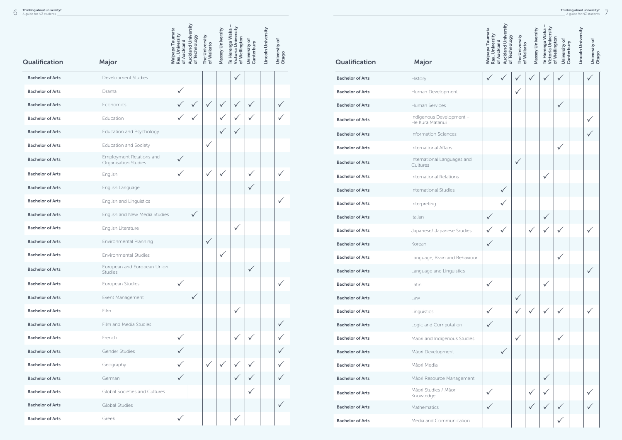|                         |                                                  | <b>Waipapa Taumata</b><br>Rau, University | <b>Auckland University</b><br>of Technology | The University<br>of Waikato | Massey University | Victoria University<br>Te Herenga Waka<br>of Wellington | University of<br>Canterbury | Lincoln University | University of |
|-------------------------|--------------------------------------------------|-------------------------------------------|---------------------------------------------|------------------------------|-------------------|---------------------------------------------------------|-----------------------------|--------------------|---------------|
| Qualification           | Major                                            | of Auckland                               |                                             |                              |                   |                                                         |                             |                    | Otago         |
| <b>Bachelor of Arts</b> | Development Studies                              |                                           |                                             |                              |                   | $\checkmark$                                            |                             |                    |               |
| <b>Bachelor of Arts</b> | Drama                                            | $\checkmark$                              |                                             |                              |                   |                                                         |                             |                    |               |
| <b>Bachelor of Arts</b> | Economics                                        | $\checkmark$                              | $\checkmark$                                | ✓                            | $\checkmark$      | V                                                       | $\checkmark$                |                    | $\checkmark$  |
| <b>Bachelor of Arts</b> | Education                                        | $\checkmark$                              |                                             |                              | $\checkmark$      |                                                         | $\checkmark$                |                    | $\checkmark$  |
| <b>Bachelor of Arts</b> | Education and Psychology                         |                                           |                                             |                              |                   |                                                         |                             |                    |               |
| <b>Bachelor of Arts</b> | Education and Society                            |                                           |                                             | $\checkmark$                 |                   |                                                         |                             |                    |               |
| <b>Bachelor of Arts</b> | Employment Relations and<br>Organisation Studies | $\checkmark$                              |                                             |                              |                   |                                                         |                             |                    |               |
| <b>Bachelor of Arts</b> | English                                          | $\checkmark$                              |                                             | $\checkmark$                 | $\checkmark$      |                                                         | $\checkmark$                |                    | $\checkmark$  |
| <b>Bachelor of Arts</b> | English Language                                 |                                           |                                             |                              |                   |                                                         | $\checkmark$                |                    |               |
| <b>Bachelor of Arts</b> | <b>English and Linguistics</b>                   |                                           |                                             |                              |                   |                                                         |                             |                    | $\checkmark$  |
| <b>Bachelor of Arts</b> | English and New Media Studies                    |                                           | $\checkmark$                                |                              |                   |                                                         |                             |                    |               |
| <b>Bachelor of Arts</b> | English Literature                               |                                           |                                             |                              |                   | $\checkmark$                                            |                             |                    |               |
| <b>Bachelor of Arts</b> | Environmental Planning                           |                                           |                                             | $\checkmark$                 |                   |                                                         |                             |                    |               |
| <b>Bachelor of Arts</b> | Environmental Studies                            |                                           |                                             |                              |                   |                                                         |                             |                    |               |
| <b>Bachelor of Arts</b> | European and European Union<br><b>Studies</b>    |                                           |                                             |                              |                   |                                                         | $\checkmark$                |                    |               |
| <b>Bachelor of Arts</b> | European Studies                                 | $\checkmark$                              |                                             |                              |                   |                                                         |                             |                    | $\checkmark$  |
| <b>Bachelor of Arts</b> | Event Management                                 |                                           | $\checkmark$                                |                              |                   |                                                         |                             |                    |               |
| <b>Bachelor of Arts</b> | Film                                             |                                           |                                             |                              |                   | $\checkmark$                                            |                             |                    |               |
| <b>Bachelor of Arts</b> | Film and Media Studies                           |                                           |                                             |                              |                   |                                                         |                             |                    | $\checkmark$  |
| <b>Bachelor of Arts</b> | French                                           | $\checkmark$                              |                                             |                              |                   | $\checkmark$                                            | $\checkmark$                |                    | $\checkmark$  |
| <b>Bachelor of Arts</b> | Gender Studies                                   | $\checkmark$                              |                                             |                              |                   |                                                         |                             |                    | $\checkmark$  |
| <b>Bachelor of Arts</b> | Geography                                        | $\checkmark$                              |                                             | $\checkmark$                 | $\checkmark$      | $\checkmark$                                            | $\checkmark$                |                    | $\checkmark$  |
| <b>Bachelor of Arts</b> | German                                           | $\checkmark$                              |                                             |                              |                   | $\checkmark$                                            | $\checkmark$                |                    | $\checkmark$  |
| <b>Bachelor of Arts</b> | Global Societies and Cultures                    |                                           |                                             |                              |                   |                                                         | $\checkmark$                |                    |               |
| <b>Bachelor of Arts</b> | <b>Global Studies</b>                            |                                           |                                             |                              |                   |                                                         |                             |                    | $\checkmark$  |
| <b>Bachelor of Arts</b> | Greek                                            | $\checkmark$                              |                                             |                              |                   | $\checkmark$                                            |                             |                    |               |

|                         | <b>Waipapa Taumata</b><br>Rau, University   | <b>Auckland University</b><br>of Technology<br>of Auckland | The University<br>of Waikato | Massey University | Victoria University<br>Te Herenga Waka | of Wellington<br>University of<br>Canterbury | Lincoln University | University of |              |
|-------------------------|---------------------------------------------|------------------------------------------------------------|------------------------------|-------------------|----------------------------------------|----------------------------------------------|--------------------|---------------|--------------|
| Qualification           | Major                                       |                                                            |                              |                   |                                        |                                              |                    |               | Otago        |
| <b>Bachelor of Arts</b> | History                                     | ✓                                                          |                              |                   |                                        |                                              |                    |               | $\checkmark$ |
| <b>Bachelor of Arts</b> | Human Development                           |                                                            |                              | $\checkmark$      |                                        |                                              |                    |               |              |
| <b>Bachelor of Arts</b> | Human Services                              |                                                            |                              |                   |                                        |                                              | $\checkmark$       |               |              |
| <b>Bachelor of Arts</b> | Indigenous Development -<br>He Kura Matanui |                                                            |                              |                   |                                        |                                              |                    |               |              |
| <b>Bachelor of Arts</b> | <b>Information Sciences</b>                 |                                                            |                              |                   |                                        |                                              |                    |               |              |
| <b>Bachelor of Arts</b> | International Affairs                       |                                                            |                              |                   |                                        |                                              | $\checkmark$       |               |              |
| <b>Bachelor of Arts</b> | International Languages and<br>Cultures     |                                                            |                              | $\checkmark$      |                                        |                                              |                    |               |              |
| <b>Bachelor of Arts</b> | <b>International Relations</b>              |                                                            |                              |                   |                                        | $\checkmark$                                 |                    |               |              |
| <b>Bachelor of Arts</b> | <b>International Studies</b>                |                                                            | $\checkmark$                 |                   |                                        |                                              |                    |               |              |
| <b>Bachelor of Arts</b> | Interpreting                                |                                                            | $\checkmark$                 |                   |                                        |                                              |                    |               |              |
| <b>Bachelor of Arts</b> | Italian                                     | $\checkmark$                                               |                              |                   |                                        | $\checkmark$                                 |                    |               |              |
| <b>Bachelor of Arts</b> | Japanese/ Japanese Srudies                  |                                                            |                              |                   |                                        |                                              |                    |               |              |
| <b>Bachelor of Arts</b> | Korean                                      |                                                            |                              |                   |                                        |                                              |                    |               |              |
| <b>Bachelor of Arts</b> | Language, Brain and Behaviour               |                                                            |                              |                   |                                        |                                              | $\checkmark$       |               |              |
| <b>Bachelor of Arts</b> | Language and Linguistics                    |                                                            |                              |                   |                                        |                                              |                    |               | $\checkmark$ |
| <b>Bachelor of Arts</b> | Latin                                       | $\checkmark$                                               |                              |                   |                                        | $\checkmark$                                 |                    |               |              |
| <b>Bachelor of Arts</b> | Law                                         |                                                            |                              | $\checkmark$      |                                        |                                              |                    |               |              |
| <b>Bachelor of Arts</b> | Linguistics                                 | $\checkmark$                                               |                              | $\checkmark$      |                                        |                                              |                    |               |              |
| <b>Bachelor of Arts</b> | Logic and Computation                       | $\checkmark$                                               |                              |                   |                                        |                                              |                    |               |              |
| <b>Bachelor of Arts</b> | Māori and Indigenous Studies                |                                                            |                              | $\checkmark$      |                                        |                                              | $\checkmark$       |               |              |
| <b>Bachelor of Arts</b> | Māori Development                           |                                                            | $\checkmark$                 |                   |                                        |                                              |                    |               |              |
| <b>Bachelor of Arts</b> | Māori Media                                 |                                                            |                              |                   |                                        |                                              |                    |               |              |
| <b>Bachelor of Arts</b> | Māori Resource Management                   |                                                            |                              |                   |                                        | $\checkmark$                                 |                    |               |              |
| <b>Bachelor of Arts</b> | Māori Studies / Māori<br>Knowledge          | $\checkmark$                                               |                              |                   |                                        |                                              |                    |               |              |
| <b>Bachelor of Arts</b> | Mathematics                                 | $\checkmark$                                               |                              |                   |                                        |                                              |                    |               |              |
| <b>Bachelor of Arts</b> | Media and Communication                     |                                                            |                              |                   |                                        |                                              | $\checkmark$       |               |              |
|                         |                                             |                                                            |                              |                   |                                        |                                              |                    |               |              |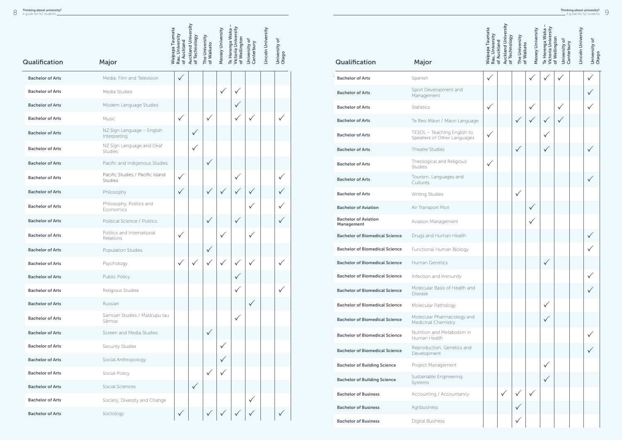|                         |                                                    | <b>Waipapa Taumata</b>         | <b>Auckland University</b> |                              | Massey University | I<br>Victoria University<br>Te Herenga Waka |                             | Lincoln University |                        |  |
|-------------------------|----------------------------------------------------|--------------------------------|----------------------------|------------------------------|-------------------|---------------------------------------------|-----------------------------|--------------------|------------------------|--|
| <b>Qualification</b>    | Major                                              | Rau, University<br>of Auckland | of Technology              | The University<br>of Waikato |                   | of Wellington                               | University of<br>Canterbury |                    | University of<br>Otago |  |
| <b>Bachelor of Arts</b> | Media, Film and Television                         | $\checkmark$                   |                            |                              |                   |                                             |                             |                    |                        |  |
| <b>Bachelor of Arts</b> | Media Studies                                      |                                |                            |                              | $\checkmark$      | $\checkmark$                                |                             |                    |                        |  |
| <b>Bachelor of Arts</b> | Modern Language Studies                            |                                |                            |                              |                   | $\checkmark$                                |                             |                    |                        |  |
| <b>Bachelor of Arts</b> | Music                                              | $\checkmark$                   |                            | $\checkmark$                 |                   | $\checkmark$                                | $\checkmark$                |                    | $\checkmark$           |  |
| <b>Bachelor of Arts</b> | NZ Sign Language - English<br>Interpreting         |                                | $\checkmark$               |                              |                   |                                             |                             |                    |                        |  |
| <b>Bachelor of Arts</b> | NZ Sign Language and Deaf<br>Studies               |                                | $\checkmark$               |                              |                   |                                             |                             |                    |                        |  |
| <b>Bachelor of Arts</b> | Pacific and Indigenous Studies                     |                                |                            | $\checkmark$                 |                   |                                             |                             |                    |                        |  |
| <b>Bachelor of Arts</b> | Pacific Studies / Pacific Island<br><b>Studies</b> | $\checkmark$                   |                            |                              |                   | $\checkmark$                                |                             |                    |                        |  |
| <b>Bachelor of Arts</b> | Philosophy                                         | $\checkmark$                   |                            | $\checkmark$                 | $\checkmark$      | $\checkmark$                                | $\checkmark$                |                    |                        |  |
| <b>Bachelor of Arts</b> | Philosophy, Politics and<br>Economics              |                                |                            |                              |                   |                                             |                             |                    | $\checkmark$           |  |
| <b>Bachelor of Arts</b> | Political Science / Politics                       |                                |                            | $\checkmark$                 |                   | $\checkmark$                                |                             |                    | $\checkmark$           |  |
| <b>Bachelor of Arts</b> | Politics and International<br>Relations            | $\checkmark$                   |                            |                              | $\checkmark$      |                                             | $\checkmark$                |                    |                        |  |
| <b>Bachelor of Arts</b> | Population Studies                                 |                                |                            | $\checkmark$                 |                   |                                             |                             |                    |                        |  |
| <b>Bachelor of Arts</b> | Psychology                                         |                                |                            |                              |                   |                                             |                             |                    |                        |  |
| <b>Bachelor of Arts</b> | <b>Public Policy</b>                               |                                |                            |                              |                   | $\checkmark$                                |                             |                    |                        |  |
| <b>Bachelor of Arts</b> | Religious Studies                                  |                                |                            |                              |                   | $\checkmark$                                |                             |                    | $\checkmark$           |  |
| <b>Bachelor of Arts</b> | Russian                                            |                                |                            |                              |                   |                                             | $\checkmark$                |                    |                        |  |
| <b>Bachelor of Arts</b> | Samoan Studies / Matā'upu tau<br>Sāmoa             |                                |                            |                              |                   | $\checkmark$                                |                             |                    |                        |  |
| <b>Bachelor of Arts</b> | Screen and Media Studies                           |                                |                            | $\checkmark$                 |                   |                                             |                             |                    |                        |  |
| <b>Bachelor of Arts</b> | Security Studies                                   |                                |                            |                              | $\checkmark$      |                                             |                             |                    |                        |  |
| <b>Bachelor of Arts</b> | Social Anthropology                                |                                |                            |                              | $\checkmark$      |                                             |                             |                    |                        |  |
| <b>Bachelor of Arts</b> | Social Policy                                      |                                |                            | $\checkmark$                 | $\checkmark$      |                                             |                             |                    |                        |  |
| <b>Bachelor of Arts</b> | Social Sciences                                    |                                |                            |                              |                   |                                             |                             |                    |                        |  |
| <b>Bachelor of Arts</b> | Society, Diversity and Change                      |                                |                            |                              |                   |                                             | $\checkmark$                |                    |                        |  |
| <b>Bachelor of Arts</b> | Sociology                                          | $\checkmark$                   |                            | $\checkmark$                 |                   |                                             | $\checkmark$                |                    | $\checkmark$           |  |

|                                           |                                                            | <b>Waipapa Taumata</b><br>Rau, University | <b>Auckland University</b><br>of Technology<br>of Auckland | The University<br>of Waikato | Massey University | Victoria University<br>Te Herenga Waka | of Wellington<br>University of<br>Canterbury | Lincoln University | University of |
|-------------------------------------------|------------------------------------------------------------|-------------------------------------------|------------------------------------------------------------|------------------------------|-------------------|----------------------------------------|----------------------------------------------|--------------------|---------------|
| Qualification                             | Major                                                      |                                           |                                                            |                              |                   |                                        |                                              |                    | Otago         |
| <b>Bachelor of Arts</b>                   | Spanish                                                    | $\checkmark$                              |                                                            |                              |                   |                                        |                                              |                    |               |
| <b>Bachelor of Arts</b>                   | Sport Development and<br>Management                        |                                           |                                                            |                              |                   |                                        |                                              |                    |               |
| <b>Bachelor of Arts</b>                   | <b>Statistics</b>                                          | $\checkmark$                              |                                                            |                              |                   |                                        |                                              |                    |               |
| <b>Bachelor of Arts</b>                   | Te Reo Māori / Māori Language                              |                                           |                                                            | $\checkmark$                 |                   |                                        |                                              |                    |               |
| <b>Bachelor of Arts</b>                   | TESOL - Teaching English to<br>Speakers of Other Languages | $\checkmark$                              |                                                            |                              |                   |                                        |                                              |                    |               |
| <b>Bachelor of Arts</b>                   | Theatre Studies                                            |                                           |                                                            |                              |                   |                                        |                                              |                    |               |
| <b>Bachelor of Arts</b>                   | Theological and Religious<br><b>Studies</b>                | $\checkmark$                              |                                                            |                              |                   |                                        |                                              |                    |               |
| <b>Bachelor of Arts</b>                   | Tourism, Languages and<br>Cultures                         |                                           |                                                            |                              |                   |                                        |                                              |                    |               |
| <b>Bachelor of Arts</b>                   | <b>Writing Studies</b>                                     |                                           |                                                            | ✓                            |                   |                                        |                                              |                    |               |
| <b>Bachelor of Aviation</b>               | Air Transport Pilot                                        |                                           |                                                            |                              |                   |                                        |                                              |                    |               |
| <b>Bachelor of Aviation</b><br>Management | Aviation Management                                        |                                           |                                                            |                              |                   |                                        |                                              |                    |               |
| <b>Bachelor of Biomedical Science</b>     | Drugs and Human Health                                     |                                           |                                                            |                              |                   |                                        |                                              |                    |               |
| <b>Bachelor of Biomedical Science</b>     | Functional Human Biology                                   |                                           |                                                            |                              |                   |                                        |                                              |                    |               |
| <b>Bachelor of Biomedical Science</b>     | Human Genetics                                             |                                           |                                                            |                              |                   |                                        |                                              |                    |               |
| <b>Bachelor of Biomedical Science</b>     | Infection and Immunity                                     |                                           |                                                            |                              |                   |                                        |                                              |                    |               |
| <b>Bachelor of Biomedical Science</b>     | Molecular Basis of Health and<br>Disease                   |                                           |                                                            |                              |                   |                                        |                                              |                    |               |
| <b>Bachelor of Biomedical Science</b>     | Molecular Pathology                                        |                                           |                                                            |                              |                   |                                        |                                              |                    |               |
| <b>Bachelor of Biomedical Science</b>     | Molecular Pharmacology and<br><b>Medicinal Chemistry</b>   |                                           |                                                            |                              |                   |                                        |                                              |                    |               |
| <b>Bachelor of Biomedical Science</b>     | Nutrition and Metabolism in<br>Human Health                |                                           |                                                            |                              |                   |                                        |                                              |                    |               |
| <b>Bachelor of Biomedical Science</b>     | Reproduction, Genetics and<br>Development                  |                                           |                                                            |                              |                   |                                        |                                              |                    |               |
| <b>Bachelor of Building Science</b>       | Project Management                                         |                                           |                                                            |                              |                   |                                        |                                              |                    |               |
| <b>Bachelor of Building Science</b>       | Sustainable Engineering<br>Systems                         |                                           |                                                            |                              |                   |                                        |                                              |                    |               |
| <b>Bachelor of Business</b>               | Accounting / Accountancy                                   |                                           |                                                            |                              | $\checkmark$      |                                        |                                              |                    |               |
| <b>Bachelor of Business</b>               | Agribusiness                                               |                                           |                                                            |                              |                   |                                        |                                              |                    |               |
| <b>Bachelor of Business</b>               | Digital Business                                           |                                           |                                                            |                              |                   |                                        |                                              |                    |               |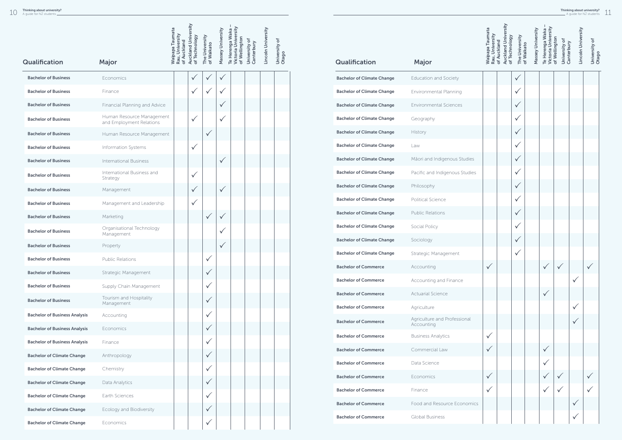|                                      |                                                       | <b>Waipapa Taumata</b><br>Rau, University<br>of Auckland | <b>Auckland University</b><br>of Technology | The University<br>of Waikato | Massey University | Victoria University<br>Te Herenga Waka<br>of Wellington | University of<br>Canterbury | Lincoln University | University of<br>Otago |
|--------------------------------------|-------------------------------------------------------|----------------------------------------------------------|---------------------------------------------|------------------------------|-------------------|---------------------------------------------------------|-----------------------------|--------------------|------------------------|
| <b>Qualification</b>                 | Major                                                 |                                                          |                                             |                              |                   |                                                         |                             |                    |                        |
| <b>Bachelor of Business</b>          | Economics                                             |                                                          | $\checkmark$                                | $\checkmark$                 | ✓                 |                                                         |                             |                    |                        |
| <b>Bachelor of Business</b>          | Finance                                               |                                                          | $\checkmark$                                | $\checkmark$                 | ✓                 |                                                         |                             |                    |                        |
| <b>Bachelor of Business</b>          | Financial Planning and Advice                         |                                                          |                                             |                              | $\checkmark$      |                                                         |                             |                    |                        |
| <b>Bachelor of Business</b>          | Human Resource Management<br>and Employment Relations |                                                          | $\checkmark$                                |                              | $\checkmark$      |                                                         |                             |                    |                        |
| <b>Bachelor of Business</b>          | Human Resource Management                             |                                                          |                                             | $\checkmark$                 |                   |                                                         |                             |                    |                        |
| <b>Bachelor of Business</b>          | Information Systems                                   |                                                          | $\checkmark$                                |                              |                   |                                                         |                             |                    |                        |
| <b>Bachelor of Business</b>          | <b>International Business</b>                         |                                                          |                                             |                              | $\checkmark$      |                                                         |                             |                    |                        |
| <b>Bachelor of Business</b>          | International Business and<br>Strategy                |                                                          | $\checkmark$                                |                              |                   |                                                         |                             |                    |                        |
| <b>Bachelor of Business</b>          | Management                                            |                                                          | $\checkmark$                                |                              | $\checkmark$      |                                                         |                             |                    |                        |
| <b>Bachelor of Business</b>          | Management and Leadership                             |                                                          | $\checkmark$                                |                              |                   |                                                         |                             |                    |                        |
| <b>Bachelor of Business</b>          | Marketing                                             |                                                          |                                             | $\checkmark$                 | $\checkmark$      |                                                         |                             |                    |                        |
| <b>Bachelor of Business</b>          | Organisational Technology<br>Management               |                                                          |                                             |                              |                   |                                                         |                             |                    |                        |
| <b>Bachelor of Business</b>          | Property                                              |                                                          |                                             |                              |                   |                                                         |                             |                    |                        |
| <b>Bachelor of Business</b>          | <b>Public Relations</b>                               |                                                          |                                             | $\checkmark$                 |                   |                                                         |                             |                    |                        |
| <b>Bachelor of Business</b>          | Strategic Management                                  |                                                          |                                             | $\checkmark$                 |                   |                                                         |                             |                    |                        |
| <b>Bachelor of Business</b>          | Supply Chain Management                               |                                                          |                                             | $\checkmark$                 |                   |                                                         |                             |                    |                        |
| <b>Bachelor of Business</b>          | Tourism and Hospitality<br>Management                 |                                                          |                                             | $\checkmark$                 |                   |                                                         |                             |                    |                        |
| <b>Bachelor of Business Analysis</b> | Accounting                                            |                                                          |                                             | $\checkmark$                 |                   |                                                         |                             |                    |                        |
| <b>Bachelor of Business Analysis</b> | Economics                                             |                                                          |                                             | $\checkmark$                 |                   |                                                         |                             |                    |                        |
| <b>Bachelor of Business Analysis</b> | Finance                                               |                                                          |                                             | $\checkmark$                 |                   |                                                         |                             |                    |                        |
| <b>Bachelor of Climate Change</b>    | Anthropology                                          |                                                          |                                             | $\checkmark$                 |                   |                                                         |                             |                    |                        |
| <b>Bachelor of Climate Change</b>    | Chemistry                                             |                                                          |                                             | $\checkmark$                 |                   |                                                         |                             |                    |                        |
| <b>Bachelor of Climate Change</b>    | Data Analytics                                        |                                                          |                                             | $\checkmark$                 |                   |                                                         |                             |                    |                        |
| <b>Bachelor of Climate Change</b>    | Earth Sciences                                        |                                                          |                                             | $\checkmark$                 |                   |                                                         |                             |                    |                        |
| <b>Bachelor of Climate Change</b>    | Ecology and Biodiversity                              |                                                          |                                             | $\checkmark$                 |                   |                                                         |                             |                    |                        |
| <b>Bachelor of Climate Change</b>    | Economics                                             |                                                          |                                             | $\checkmark$                 |                   |                                                         |                             |                    |                        |
|                                      |                                                       |                                                          |                                             |                              |                   |                                                         |                             |                    |                        |

 $\sim$ 

|                                   |                                            | <b>Waipapa Taumata</b><br>Rau, University | <b>Auckland University</b><br>of Technology<br>of Auckland | The University<br>of Waikato | Massey University | <b>Victoria University</b><br>Te Herenga Waka | of Wellington<br>University of | Lincoln University<br>Canterbury | University of |
|-----------------------------------|--------------------------------------------|-------------------------------------------|------------------------------------------------------------|------------------------------|-------------------|-----------------------------------------------|--------------------------------|----------------------------------|---------------|
| Qualification                     | Major                                      |                                           |                                                            |                              |                   |                                               |                                |                                  | Otago         |
| <b>Bachelor of Climate Change</b> | Education and Society                      |                                           |                                                            | ✓                            |                   |                                               |                                |                                  |               |
| <b>Bachelor of Climate Change</b> | Environmental Planning                     |                                           |                                                            |                              |                   |                                               |                                |                                  |               |
| <b>Bachelor of Climate Change</b> | <b>Environmental Sciences</b>              |                                           |                                                            | $\checkmark$                 |                   |                                               |                                |                                  |               |
| <b>Bachelor of Climate Change</b> | Geography                                  |                                           |                                                            |                              |                   |                                               |                                |                                  |               |
| <b>Bachelor of Climate Change</b> | History                                    |                                           |                                                            |                              |                   |                                               |                                |                                  |               |
| <b>Bachelor of Climate Change</b> | Law                                        |                                           |                                                            |                              |                   |                                               |                                |                                  |               |
| <b>Bachelor of Climate Change</b> | Māori and Indigenous Studies               |                                           |                                                            | ✓                            |                   |                                               |                                |                                  |               |
| <b>Bachelor of Climate Change</b> | Pacific and Indigenous Studies             |                                           |                                                            |                              |                   |                                               |                                |                                  |               |
| <b>Bachelor of Climate Change</b> | Philosophy                                 |                                           |                                                            | $\checkmark$                 |                   |                                               |                                |                                  |               |
| <b>Bachelor of Climate Change</b> | <b>Political Science</b>                   |                                           |                                                            |                              |                   |                                               |                                |                                  |               |
| <b>Bachelor of Climate Change</b> | <b>Public Relations</b>                    |                                           |                                                            |                              |                   |                                               |                                |                                  |               |
| <b>Bachelor of Climate Change</b> | Social Policy                              |                                           |                                                            |                              |                   |                                               |                                |                                  |               |
| <b>Bachelor of Climate Change</b> | Sociology                                  |                                           |                                                            | $\checkmark$                 |                   |                                               |                                |                                  |               |
| <b>Bachelor of Climate Change</b> | Strategic Management                       |                                           |                                                            |                              |                   |                                               |                                |                                  |               |
| <b>Bachelor of Commerce</b>       | Accounting                                 |                                           |                                                            |                              |                   |                                               |                                |                                  |               |
| <b>Bachelor of Commerce</b>       | Accounting and Finance                     |                                           |                                                            |                              |                   |                                               |                                |                                  |               |
| <b>Bachelor of Commerce</b>       | <b>Actuarial Science</b>                   |                                           |                                                            |                              |                   |                                               |                                |                                  |               |
| <b>Bachelor of Commerce</b>       | Agriculture                                |                                           |                                                            |                              |                   |                                               |                                |                                  |               |
| <b>Bachelor of Commerce</b>       | Agriculture and Professional<br>Accounting |                                           |                                                            |                              |                   |                                               |                                |                                  |               |
| <b>Bachelor of Commerce</b>       | <b>Business Analytics</b>                  |                                           |                                                            |                              |                   |                                               |                                |                                  |               |
| <b>Bachelor of Commerce</b>       | Commercial Law                             |                                           |                                                            |                              |                   |                                               |                                |                                  |               |
| <b>Bachelor of Commerce</b>       | Data Science                               |                                           |                                                            |                              |                   |                                               |                                |                                  |               |
| <b>Bachelor of Commerce</b>       | Economics                                  | ✓                                         |                                                            |                              |                   |                                               |                                |                                  |               |
| <b>Bachelor of Commerce</b>       | Finance                                    |                                           |                                                            |                              |                   |                                               |                                |                                  |               |
| <b>Bachelor of Commerce</b>       | Food and Resource Economics                |                                           |                                                            |                              |                   |                                               |                                |                                  |               |
| <b>Bachelor of Commerce</b>       | <b>Global Business</b>                     |                                           |                                                            |                              |                   |                                               |                                |                                  |               |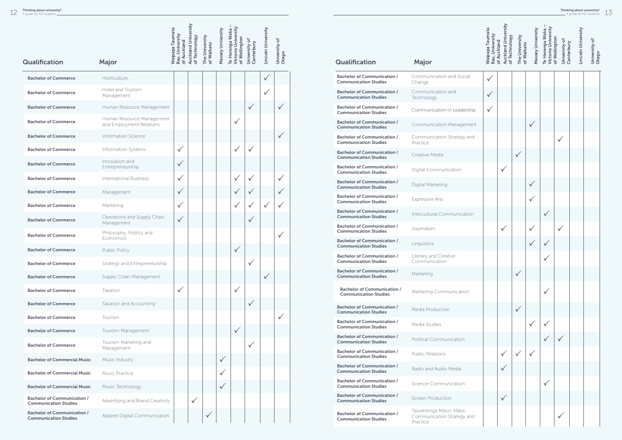|                                                                    |                                                       | Waipapa Taumata<br>Rau, University | <b>Auckland University</b><br>of Technology | The University<br>of Waikato | Massey University | Victoria University<br>Te Herenga Waka<br>of Wellington | University of<br>Canterbury | Lincoln University | University of |
|--------------------------------------------------------------------|-------------------------------------------------------|------------------------------------|---------------------------------------------|------------------------------|-------------------|---------------------------------------------------------|-----------------------------|--------------------|---------------|
| Qualification                                                      | Major                                                 | of Auckland                        |                                             |                              |                   |                                                         |                             |                    | Otago         |
| <b>Bachelor of Commerce</b>                                        | Horticulture                                          |                                    |                                             |                              |                   |                                                         |                             | $\checkmark$       |               |
| <b>Bachelor of Commerce</b>                                        | Hotel and Tourism<br>Management                       |                                    |                                             |                              |                   |                                                         |                             | $\checkmark$       |               |
| <b>Bachelor of Commerce</b>                                        | Human Resource Management                             |                                    |                                             |                              |                   |                                                         |                             |                    | ✓             |
| <b>Bachelor of Commerce</b>                                        | Human Resource Management<br>and Employment Relations |                                    |                                             |                              |                   | $\checkmark$                                            |                             |                    |               |
| <b>Bachelor of Commerce</b>                                        | Information Science                                   |                                    |                                             |                              |                   |                                                         |                             |                    | $\checkmark$  |
| <b>Bachelor of Commerce</b>                                        | Information Systems                                   | $\checkmark$                       |                                             |                              |                   | $\checkmark$                                            | $\checkmark$                |                    |               |
| <b>Bachelor of Commerce</b>                                        | Innovation and<br>Entrepreneurship                    | $\checkmark$                       |                                             |                              |                   |                                                         |                             |                    |               |
| <b>Bachelor of Commerce</b>                                        | <b>International Business</b>                         | $\checkmark$                       |                                             |                              |                   |                                                         |                             |                    |               |
| <b>Bachelor of Commerce</b>                                        | Management                                            | $\checkmark$                       |                                             |                              |                   |                                                         |                             |                    |               |
| <b>Bachelor of Commerce</b>                                        | Marketing                                             | $\checkmark$                       |                                             |                              |                   |                                                         |                             |                    |               |
| <b>Bachelor of Commerce</b>                                        | Operations and Supply Chain<br>Management             | $\checkmark$                       |                                             |                              |                   |                                                         |                             |                    |               |
| <b>Bachelor of Commerce</b>                                        | Philosophy, Politics and<br>Economics                 |                                    |                                             |                              |                   |                                                         |                             |                    | $\checkmark$  |
| <b>Bachelor of Commerce</b>                                        | <b>Public Policy</b>                                  |                                    |                                             |                              |                   |                                                         |                             |                    |               |
| <b>Bachelor of Commerce</b>                                        | Strategy and Entrepreneurship                         |                                    |                                             |                              |                   |                                                         |                             |                    |               |
| <b>Bachelor of Commerce</b>                                        | Supply Chain Management                               |                                    |                                             |                              |                   |                                                         |                             | $\checkmark$       |               |
| <b>Bachelor of Commerce</b>                                        | Taxation                                              | $\checkmark$                       |                                             |                              |                   | $\checkmark$                                            |                             |                    |               |
| <b>Bachelor of Commerce</b>                                        | Taxation and Accounting                               |                                    |                                             |                              |                   |                                                         | $\checkmark$                |                    |               |
| <b>Bachelor of Commerce</b>                                        | Tourism                                               |                                    |                                             |                              |                   |                                                         |                             |                    |               |
| <b>Bachelor of Commerce</b>                                        | Tourism Management                                    |                                    |                                             |                              |                   | $\checkmark$                                            |                             |                    |               |
| <b>Bachelor of Commerce</b>                                        | Tourism Marketing and<br>Management                   |                                    |                                             |                              |                   |                                                         | $\checkmark$                |                    |               |
| <b>Bachelor of Commercial Music</b>                                | Music Industry                                        |                                    |                                             |                              | $\checkmark$      |                                                         |                             |                    |               |
| <b>Bachelor of Commercial Music</b>                                | <b>Music Practice</b>                                 |                                    |                                             |                              |                   |                                                         |                             |                    |               |
| <b>Bachelor of Commercial Music</b>                                | Music Technology                                      |                                    |                                             |                              |                   |                                                         |                             |                    |               |
| <b>Bachelor of Communication /</b><br><b>Communication Studies</b> | Advertising and Brand Creativity                      |                                    | $\checkmark$                                |                              |                   |                                                         |                             |                    |               |
| <b>Bachelor of Communication /</b><br><b>Communication Studies</b> | Applied Digital Communication                         |                                    |                                             | $\checkmark$                 |                   |                                                         |                             |                    |               |

|                                                                    |                                                                    | <b>Waipapa Taumata</b><br>Rau, University | <b>Auckland University</b><br>of Technology<br>of Auckland | The University | Massey University<br>of Waikato | Victoria University<br>Te Herenga Waka | of Wellington<br>University of<br>Canterbury | Lincoln University | University of |
|--------------------------------------------------------------------|--------------------------------------------------------------------|-------------------------------------------|------------------------------------------------------------|----------------|---------------------------------|----------------------------------------|----------------------------------------------|--------------------|---------------|
| Qualification                                                      | Major                                                              |                                           |                                                            |                |                                 |                                        |                                              |                    | Otago         |
| <b>Bachelor of Communication /</b><br><b>Communication Studies</b> | Communication and Social<br>Change                                 | $\checkmark$                              |                                                            |                |                                 |                                        |                                              |                    |               |
| <b>Bachelor of Communication /</b><br><b>Communication Studies</b> | Communication and<br>Technology                                    | $\checkmark$                              |                                                            |                |                                 |                                        |                                              |                    |               |
| <b>Bachelor of Communication /</b><br><b>Communication Studies</b> | Communication in Leadership                                        | $\checkmark$                              |                                                            |                |                                 |                                        |                                              |                    |               |
| <b>Bachelor of Communication /</b><br><b>Communication Studies</b> | Communication Management                                           |                                           |                                                            |                | $\checkmark$                    |                                        |                                              |                    |               |
| <b>Bachelor of Communication /</b><br><b>Communication Studies</b> | Communication Strategy and<br>Practice                             |                                           |                                                            |                |                                 |                                        | $\checkmark$                                 |                    |               |
| <b>Bachelor of Communication /</b><br><b>Communication Studies</b> | Creative Media                                                     |                                           |                                                            | $\checkmark$   |                                 |                                        |                                              |                    |               |
| <b>Bachelor of Communication /</b><br><b>Communication Studies</b> | Digital Communication                                              |                                           | $\checkmark$                                               |                |                                 |                                        |                                              |                    |               |
| <b>Bachelor of Communication /</b><br><b>Communication Studies</b> | Digital Marketing                                                  |                                           |                                                            |                | $\checkmark$                    |                                        |                                              |                    |               |
| <b>Bachelor of Communication /</b><br><b>Communication Studies</b> | <b>Expressive Arts</b>                                             |                                           |                                                            |                | $\checkmark$                    |                                        |                                              |                    |               |
| <b>Bachelor of Communication /</b><br><b>Communication Studies</b> | Intercultural Communication                                        |                                           |                                                            |                |                                 | $\checkmark$                           |                                              |                    |               |
| <b>Bachelor of Communication /</b><br><b>Communication Studies</b> | Journalism                                                         |                                           | $\checkmark$                                               |                | $\checkmark$                    |                                        | $\checkmark$                                 |                    |               |
| <b>Bachelor of Communication /</b><br><b>Communication Studies</b> | Linguistics                                                        |                                           |                                                            |                | $\checkmark$                    |                                        |                                              |                    |               |
| <b>Bachelor of Communication /</b><br><b>Communication Studies</b> | Literary and Creative<br>Communication                             |                                           |                                                            |                |                                 |                                        |                                              |                    |               |
| <b>Bachelor of Communication /</b><br><b>Communication Studies</b> | Marketing                                                          |                                           |                                                            | $\checkmark$   |                                 |                                        |                                              |                    |               |
| <b>Bachelor of Communication /</b><br><b>Communication Studies</b> | Marketing Communication                                            |                                           |                                                            |                |                                 | $\checkmark$                           |                                              |                    |               |
| <b>Bachelor of Communication /</b><br><b>Communication Studies</b> | Media Production                                                   |                                           |                                                            | $\checkmark$   |                                 |                                        |                                              |                    |               |
| <b>Bachelor of Communication /</b><br><b>Communication Studies</b> | Media Studies                                                      |                                           |                                                            |                | $\checkmark$                    |                                        |                                              |                    |               |
| <b>Bachelor of Communication /</b><br><b>Communication Studies</b> | <b>Political Communication</b>                                     |                                           |                                                            |                |                                 |                                        |                                              |                    |               |
| <b>Bachelor of Communication /</b><br><b>Communication Studies</b> | <b>Public Relations</b>                                            |                                           |                                                            |                | $\checkmark$                    |                                        |                                              |                    |               |
| <b>Bachelor of Communication /</b><br><b>Communication Studies</b> | Radio and Audio Media                                              |                                           |                                                            |                |                                 |                                        |                                              |                    |               |
| <b>Bachelor of Communication /</b><br><b>Communication Studies</b> | Science Communication                                              |                                           |                                                            |                |                                 | $\checkmark$                           |                                              |                    |               |
| <b>Bachelor of Communication /</b><br><b>Communication Studies</b> | <b>Screen Production</b>                                           |                                           |                                                            |                |                                 |                                        |                                              |                    |               |
| <b>Bachelor of Communication /</b><br><b>Communication Studies</b> | Tauwhitinga Māori: Māori<br>Communication Strategy and<br>Practice |                                           |                                                            |                |                                 |                                        | $\checkmark$                                 |                    |               |
|                                                                    |                                                                    |                                           |                                                            |                |                                 |                                        |                                              |                    |               |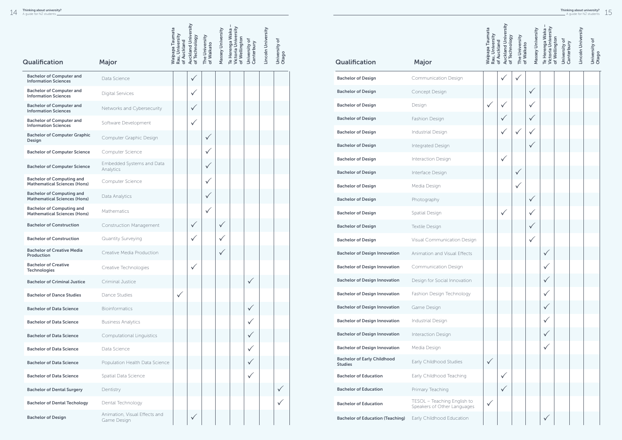|                                                                         |                                              | <b>Auckland University</b><br>Waipapa Taumata<br>Rau, University |               |                              |                   |                                                         |                             |                    |                        |
|-------------------------------------------------------------------------|----------------------------------------------|------------------------------------------------------------------|---------------|------------------------------|-------------------|---------------------------------------------------------|-----------------------------|--------------------|------------------------|
|                                                                         |                                              | of Auckland                                                      | of Technology | The University<br>of Waikato | Massey University | Victoria University<br>Te Herenga Waka<br>of Wellington | University of<br>Canterbury | Lincoln University | University of<br>Otago |
| Qualification                                                           | Major                                        |                                                                  |               |                              |                   |                                                         |                             |                    |                        |
| <b>Bachelor of Computer and</b><br><b>Information Sciences</b>          | Data Science                                 |                                                                  | $\checkmark$  |                              |                   |                                                         |                             |                    |                        |
| <b>Bachelor of Computer and</b><br><b>Information Sciences</b>          | <b>Digital Services</b>                      |                                                                  | $\checkmark$  |                              |                   |                                                         |                             |                    |                        |
| <b>Bachelor of Computer and</b><br><b>Information Sciences</b>          | Networks and Cybersecurity                   |                                                                  | $\checkmark$  |                              |                   |                                                         |                             |                    |                        |
| <b>Bachelor of Computer and</b><br><b>Information Sciences</b>          | Software Development                         |                                                                  | $\checkmark$  |                              |                   |                                                         |                             |                    |                        |
| <b>Bachelor of Computer Graphic</b><br>Design                           | Computer Graphic Design                      |                                                                  |               | $\checkmark$                 |                   |                                                         |                             |                    |                        |
| <b>Bachelor of Computer Science</b>                                     | Computer Science                             |                                                                  |               | $\checkmark$                 |                   |                                                         |                             |                    |                        |
| <b>Bachelor of Computer Science</b>                                     | Embedded Systems and Data<br>Analytics       |                                                                  |               | $\checkmark$                 |                   |                                                         |                             |                    |                        |
| <b>Bachelor of Computing and</b><br><b>Mathematical Sciences (Hons)</b> | Computer Science                             |                                                                  |               | $\checkmark$                 |                   |                                                         |                             |                    |                        |
| <b>Bachelor of Computing and</b><br><b>Mathematical Sciences (Hons)</b> | Data Analytics                               |                                                                  |               | $\checkmark$                 |                   |                                                         |                             |                    |                        |
| <b>Bachelor of Computing and</b><br><b>Mathematical Sciences (Hons)</b> | Mathematics                                  |                                                                  |               | $\checkmark$                 |                   |                                                         |                             |                    |                        |
| <b>Bachelor of Construction</b>                                         | Construction Management                      |                                                                  | $\checkmark$  |                              | $\checkmark$      |                                                         |                             |                    |                        |
| <b>Bachelor of Construction</b>                                         | Quantity Surveying                           |                                                                  | $\checkmark$  |                              | $\checkmark$      |                                                         |                             |                    |                        |
| <b>Bachelor of Creative Media</b><br>Production                         | Creative Media Production                    |                                                                  |               |                              | $\checkmark$      |                                                         |                             |                    |                        |
| <b>Bachelor of Creative</b><br><b>Technologies</b>                      | Creative Technologies                        |                                                                  | $\checkmark$  |                              |                   |                                                         |                             |                    |                        |
| <b>Bachelor of Criminal Justice</b>                                     | Criminal Justice                             |                                                                  |               |                              |                   |                                                         | $\checkmark$                |                    |                        |
| <b>Bachelor of Dance Studies</b>                                        | Dance Studies                                | $\checkmark$                                                     |               |                              |                   |                                                         |                             |                    |                        |
| <b>Bachelor of Data Science</b>                                         | <b>Bioinformatics</b>                        |                                                                  |               |                              |                   |                                                         | $\checkmark$                |                    |                        |
| <b>Bachelor of Data Science</b>                                         | <b>Business Analytics</b>                    |                                                                  |               |                              |                   |                                                         | ✓                           |                    |                        |
| <b>Bachelor of Data Science</b>                                         | <b>Computational Linguistics</b>             |                                                                  |               |                              |                   |                                                         | $\checkmark$                |                    |                        |
| <b>Bachelor of Data Science</b>                                         | Data Science                                 |                                                                  |               |                              |                   |                                                         | $\checkmark$                |                    |                        |
| <b>Bachelor of Data Science</b>                                         | Population Health Data Science               |                                                                  |               |                              |                   |                                                         | $\checkmark$                |                    |                        |
| <b>Bachelor of Data Science</b>                                         | Spatial Data Science                         |                                                                  |               |                              |                   |                                                         | $\checkmark$                |                    |                        |
| <b>Bachelor of Dental Surgery</b>                                       | Dentistry                                    |                                                                  |               |                              |                   |                                                         |                             |                    | $\checkmark$           |
| <b>Bachelor of Dental Techology</b>                                     | Dental Technology                            |                                                                  |               |                              |                   |                                                         |                             |                    | $\checkmark$           |
| <b>Bachelor of Design</b>                                               | Animation, Visual Effects and<br>Game Design |                                                                  | $\checkmark$  |                              |                   |                                                         |                             |                    |                        |

|                                                      |                                                            | <b>Waipapa Taumata</b><br>Rau, University | Auckland University<br>of Technology<br>of Auckland | The University<br>of Waikato | Massey University | Victoria University<br>Te Herenga Waka | of Wellington<br>University of<br>Canterbury | Lincoln University | University of |
|------------------------------------------------------|------------------------------------------------------------|-------------------------------------------|-----------------------------------------------------|------------------------------|-------------------|----------------------------------------|----------------------------------------------|--------------------|---------------|
| Qualification                                        | Major                                                      |                                           |                                                     |                              |                   |                                        |                                              |                    | Otago         |
| <b>Bachelor of Design</b>                            | Communication Design                                       |                                           |                                                     |                              |                   |                                        |                                              |                    |               |
| <b>Bachelor of Design</b>                            | Concept Design                                             |                                           |                                                     |                              |                   |                                        |                                              |                    |               |
| <b>Bachelor of Design</b>                            | Design                                                     |                                           |                                                     |                              |                   |                                        |                                              |                    |               |
| <b>Bachelor of Design</b>                            | Fashion Design                                             |                                           |                                                     |                              |                   |                                        |                                              |                    |               |
| <b>Bachelor of Design</b>                            | Industrial Design                                          |                                           |                                                     |                              |                   |                                        |                                              |                    |               |
| <b>Bachelor of Design</b>                            | Integrated Design                                          |                                           |                                                     |                              |                   |                                        |                                              |                    |               |
| <b>Bachelor of Design</b>                            | Interaction Design                                         |                                           | $\checkmark$                                        |                              |                   |                                        |                                              |                    |               |
| <b>Bachelor of Design</b>                            | Interface Design                                           |                                           |                                                     |                              |                   |                                        |                                              |                    |               |
| <b>Bachelor of Design</b>                            | Media Design                                               |                                           |                                                     |                              |                   |                                        |                                              |                    |               |
| <b>Bachelor of Design</b>                            | Photography                                                |                                           |                                                     |                              |                   |                                        |                                              |                    |               |
| <b>Bachelor of Design</b>                            | Spatial Design                                             |                                           |                                                     |                              |                   |                                        |                                              |                    |               |
| <b>Bachelor of Design</b>                            | Textile Design                                             |                                           |                                                     |                              |                   |                                        |                                              |                    |               |
| <b>Bachelor of Design</b>                            | Visual Communication Design                                |                                           |                                                     |                              |                   |                                        |                                              |                    |               |
| <b>Bachelor of Design Innovation</b>                 | Animation and Visual Effects                               |                                           |                                                     |                              |                   |                                        |                                              |                    |               |
| <b>Bachelor of Design Innovation</b>                 | <b>Communication Design</b>                                |                                           |                                                     |                              |                   |                                        |                                              |                    |               |
| <b>Bachelor of Design Innovation</b>                 | Design for Social Innovation                               |                                           |                                                     |                              |                   |                                        |                                              |                    |               |
| <b>Bachelor of Design Innovation</b>                 | Fashion Design Technology                                  |                                           |                                                     |                              |                   |                                        |                                              |                    |               |
| <b>Bachelor of Design Innovation</b>                 | Game Design                                                |                                           |                                                     |                              |                   | $\checkmark$                           |                                              |                    |               |
| <b>Bachelor of Design Innovation</b>                 | Industrial Design                                          |                                           |                                                     |                              |                   | ✓                                      |                                              |                    |               |
| <b>Bachelor of Design Innovation</b>                 | Interaction Design                                         |                                           |                                                     |                              |                   | $\checkmark$                           |                                              |                    |               |
| <b>Bachelor of Design Innovation</b>                 | Media Design                                               |                                           |                                                     |                              |                   |                                        |                                              |                    |               |
| <b>Bachelor of Early Childhood</b><br><b>Studies</b> | Early Childhood Studies                                    | $\checkmark$                              |                                                     |                              |                   |                                        |                                              |                    |               |
| <b>Bachelor of Education</b>                         | Early Childhood Teaching                                   |                                           | $\checkmark$                                        |                              |                   |                                        |                                              |                    |               |
| <b>Bachelor of Education</b>                         | Primary Teaching                                           |                                           | $\checkmark$                                        |                              |                   |                                        |                                              |                    |               |
| <b>Bachelor of Education</b>                         | TESOL - Teaching English to<br>Speakers of Other Languages |                                           |                                                     |                              |                   |                                        |                                              |                    |               |
| <b>Bachelor of Education (Teaching)</b>              | Early Childhood Education                                  |                                           |                                                     |                              |                   | $\checkmark$                           |                                              |                    |               |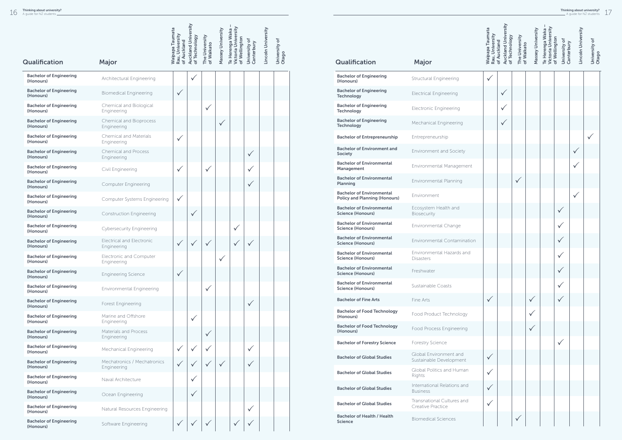|                                             |                                                 | <b>Waipapa Taumata</b><br>Rau, University<br>of Auckland | <b>Auckland University</b><br>of Technology | The University<br>of Waikato | Massey University | Victoria University<br>Te Herenga Waka<br>of Wellington | University of<br>Canterbury | Lincoln University | University of<br>Otago |
|---------------------------------------------|-------------------------------------------------|----------------------------------------------------------|---------------------------------------------|------------------------------|-------------------|---------------------------------------------------------|-----------------------------|--------------------|------------------------|
| <b>Qualification</b>                        | Major                                           |                                                          |                                             |                              |                   |                                                         |                             |                    |                        |
| <b>Bachelor of Engineering</b><br>(Honours) | Architectural Engineering                       |                                                          | $\checkmark$                                |                              |                   |                                                         |                             |                    |                        |
| <b>Bachelor of Engineering</b><br>(Honours) | <b>Biomedical Engineering</b>                   | $\checkmark$                                             |                                             |                              |                   |                                                         |                             |                    |                        |
| <b>Bachelor of Engineering</b><br>(Honours) | Chemical and Biological<br>Engineering          |                                                          |                                             | $\checkmark$                 |                   |                                                         |                             |                    |                        |
| <b>Bachelor of Engineering</b><br>(Honours) | Chemical and Bioprocess<br>Engineering          |                                                          |                                             |                              | $\checkmark$      |                                                         |                             |                    |                        |
| <b>Bachelor of Engineering</b><br>(Honours) | <b>Chemical and Materials</b><br>Engineering    | $\checkmark$                                             |                                             |                              |                   |                                                         |                             |                    |                        |
| <b>Bachelor of Engineering</b><br>(Honours) | <b>Chemical and Process</b><br>Engineering      |                                                          |                                             |                              |                   |                                                         | ✓                           |                    |                        |
| <b>Bachelor of Engineering</b><br>(Honours) | Civil Engineering                               | $\checkmark$                                             |                                             | $\checkmark$                 |                   |                                                         |                             |                    |                        |
| <b>Bachelor of Engineering</b><br>(Honours) | <b>Computer Engineering</b>                     |                                                          |                                             |                              |                   |                                                         | $\checkmark$                |                    |                        |
| <b>Bachelor of Engineering</b><br>(Honours) | Computer Systems Engineering                    | $\checkmark$                                             |                                             |                              |                   |                                                         |                             |                    |                        |
| <b>Bachelor of Engineering</b><br>(Honours) | <b>Construction Engineering</b>                 |                                                          | $\checkmark$                                |                              |                   |                                                         |                             |                    |                        |
| <b>Bachelor of Engineering</b><br>(Honours) | <b>Cybersecurity Engineering</b>                |                                                          |                                             |                              |                   | ✓                                                       |                             |                    |                        |
| <b>Bachelor of Engineering</b><br>(Honours) | <b>Electrical and Electronic</b><br>Engineering | $\checkmark$                                             | $\checkmark$                                | $\checkmark$                 |                   |                                                         |                             |                    |                        |
| <b>Bachelor of Engineering</b><br>(Honours) | Electronic and Computer<br>Engineering          |                                                          |                                             |                              |                   |                                                         |                             |                    |                        |
| <b>Bachelor of Engineering</b><br>(Honours) | <b>Engineering Science</b>                      | $\checkmark$                                             |                                             |                              |                   |                                                         |                             |                    |                        |
| <b>Bachelor of Engineering</b><br>(Honours) | <b>Environmental Engineering</b>                |                                                          |                                             | $\checkmark$                 |                   |                                                         |                             |                    |                        |
| <b>Bachelor of Engineering</b><br>(Honours) | Forest Engineering                              |                                                          |                                             |                              |                   |                                                         | $\checkmark$                |                    |                        |
| <b>Bachelor of Engineering</b><br>(Honours) | Marine and Offshore<br>Engineering              |                                                          | $\checkmark$                                |                              |                   |                                                         |                             |                    |                        |
| <b>Bachelor of Engineering</b><br>(Honours) | Materials and Process<br>Engineering            |                                                          |                                             | $\checkmark$                 |                   |                                                         |                             |                    |                        |
| <b>Bachelor of Engineering</b><br>(Honours) | Mechanical Engineering                          | $\checkmark$                                             |                                             |                              |                   |                                                         |                             |                    |                        |
| <b>Bachelor of Engineering</b><br>(Honours) | Mechatronics / Mechatronics<br>Engineering      | $\checkmark$                                             |                                             |                              | $\checkmark$      |                                                         |                             |                    |                        |
| <b>Bachelor of Engineering</b><br>(Honours) | Naval Architecture                              |                                                          | $\checkmark$                                |                              |                   |                                                         |                             |                    |                        |
| <b>Bachelor of Engineering</b><br>(Honours) | Ocean Engineering                               |                                                          | $\checkmark$                                |                              |                   |                                                         |                             |                    |                        |
| <b>Bachelor of Engineering</b><br>(Honours) | Natural Resources Engineering                   |                                                          |                                             |                              |                   |                                                         |                             |                    |                        |
| <b>Bachelor of Engineering</b><br>(Honours) | Software Engineering                            | $\checkmark$                                             |                                             |                              |                   |                                                         |                             |                    |                        |

|                                                                          |                                                   | <b>Waipapa Taumata</b><br>Rau, University | <b>Auckland University</b><br>of Technology<br>of Auckland | The University<br>of Waikato | Massey University | Victoria University<br>Te Herenga Waka | of Wellington<br>University of<br>Canterbury | Lincoln University | University of |
|--------------------------------------------------------------------------|---------------------------------------------------|-------------------------------------------|------------------------------------------------------------|------------------------------|-------------------|----------------------------------------|----------------------------------------------|--------------------|---------------|
| <b>Qualification</b>                                                     | <b>Major</b>                                      |                                           |                                                            |                              |                   |                                        |                                              |                    | Otago         |
| <b>Bachelor of Engineering</b><br>(Honours)                              | <b>Structural Engineering</b>                     | ✓                                         |                                                            |                              |                   |                                        |                                              |                    |               |
| <b>Bachelor of Engineering</b><br>Technology                             | <b>Electrical Engineering</b>                     |                                           | ✓                                                          |                              |                   |                                        |                                              |                    |               |
| <b>Bachelor of Engineering</b><br>Technology                             | <b>Electronic Engineering</b>                     |                                           |                                                            |                              |                   |                                        |                                              |                    |               |
| <b>Bachelor of Engineering</b><br><b>Technology</b>                      | Mechanical Engineering                            |                                           | $\checkmark$                                               |                              |                   |                                        |                                              |                    |               |
| <b>Bachelor of Entrepreneurship</b>                                      | Entrepreneurship                                  |                                           |                                                            |                              |                   |                                        |                                              |                    |               |
| <b>Bachelor of Environment and</b><br><b>Society</b>                     | <b>Environment and Society</b>                    |                                           |                                                            |                              |                   |                                        |                                              | ✓                  |               |
| <b>Bachelor of Environmental</b><br>Management                           | Environmental Management                          |                                           |                                                            |                              |                   |                                        |                                              |                    |               |
| <b>Bachelor of Environmental</b><br>Planning                             | <b>Environmental Planning</b>                     |                                           |                                                            |                              |                   |                                        |                                              |                    |               |
| <b>Bachelor of Environmental</b><br><b>Policy and Planning (Honours)</b> | Environment                                       |                                           |                                                            |                              |                   |                                        |                                              |                    |               |
| <b>Bachelor of Environmental</b><br><b>Science (Honours)</b>             | Ecosystem Health and<br>Biosecurity               |                                           |                                                            |                              |                   |                                        | $\checkmark$                                 |                    |               |
| <b>Bachelor of Environmental</b><br><b>Science (Honours)</b>             | <b>Environmental Change</b>                       |                                           |                                                            |                              |                   |                                        |                                              |                    |               |
| <b>Bachelor of Environmental</b><br><b>Science (Honours)</b>             | Environmental Contamination                       |                                           |                                                            |                              |                   |                                        |                                              |                    |               |
| <b>Bachelor of Environmental</b><br><b>Science (Honours)</b>             | Environmental Hazards and<br><b>Disasters</b>     |                                           |                                                            |                              |                   |                                        | ٧                                            |                    |               |
| <b>Bachelor of Environmental</b><br><b>Science (Honours)</b>             | Freshwater                                        |                                           |                                                            |                              |                   |                                        | $\checkmark$                                 |                    |               |
| <b>Bachelor of Environmental</b><br><b>Science (Honours)</b>             | Sustainable Coasts                                |                                           |                                                            |                              |                   |                                        |                                              |                    |               |
| <b>Bachelor of Fine Arts</b>                                             | Fine Arts                                         | $\checkmark$                              |                                                            |                              | $\checkmark$      |                                        | $\checkmark$                                 |                    |               |
| <b>Bachelor of Food Technology</b><br>(Honours)                          | Food Product Technology                           |                                           |                                                            |                              |                   |                                        |                                              |                    |               |
| <b>Bachelor of Food Technology</b><br>(Honours)                          | <b>Food Process Engineering</b>                   |                                           |                                                            |                              |                   |                                        |                                              |                    |               |
| <b>Bachelor of Forestry Science</b>                                      | Forestry Science                                  |                                           |                                                            |                              |                   |                                        | $\checkmark$                                 |                    |               |
| <b>Bachelor of Global Studies</b>                                        | Global Environment and<br>Sustainable Development | $\checkmark$                              |                                                            |                              |                   |                                        |                                              |                    |               |
| <b>Bachelor of Global Studies</b>                                        | Global Politics and Human<br>Rights               |                                           |                                                            |                              |                   |                                        |                                              |                    |               |
| <b>Bachelor of Global Studies</b>                                        | International Relations and<br><b>Business</b>    | $\checkmark$                              |                                                            |                              |                   |                                        |                                              |                    |               |
| <b>Bachelor of Global Studies</b>                                        | Transnational Cultures and<br>Creative Practice   | ✓                                         |                                                            |                              |                   |                                        |                                              |                    |               |
| <b>Bachelor of Health / Health</b><br><b>Science</b>                     | <b>Biomedical Sciences</b>                        |                                           |                                                            |                              |                   |                                        |                                              |                    |               |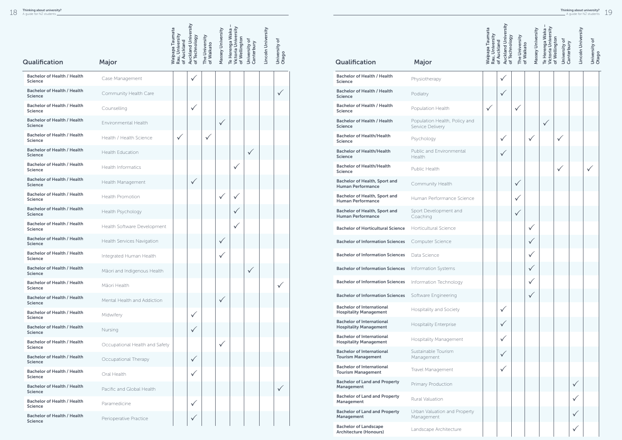|                                                      |                                | <b>Waipapa Taumata</b>         | <b>Auckland University</b> |                              | Massey University | Victoria University<br>Te Herenga Waka |                             | Lincoln University |                        |  |
|------------------------------------------------------|--------------------------------|--------------------------------|----------------------------|------------------------------|-------------------|----------------------------------------|-----------------------------|--------------------|------------------------|--|
|                                                      |                                | Rau, University<br>of Auckland | of Technology              | The University<br>of Waikato |                   | of Wellington                          | University of<br>Canterbury |                    | University of<br>Otago |  |
| <b>Qualification</b>                                 | Major                          |                                |                            |                              |                   |                                        |                             |                    |                        |  |
| <b>Bachelor of Health / Health</b><br><b>Science</b> | Case Management                |                                | $\checkmark$               |                              |                   |                                        |                             |                    |                        |  |
| <b>Bachelor of Health / Health</b><br><b>Science</b> | Community Health Care          |                                |                            |                              |                   |                                        |                             |                    | $\checkmark$           |  |
| <b>Bachelor of Health / Health</b><br><b>Science</b> | Counselling                    |                                | $\checkmark$               |                              |                   |                                        |                             |                    |                        |  |
| <b>Bachelor of Health / Health</b><br><b>Science</b> | Environmental Health           |                                |                            |                              | $\checkmark$      |                                        |                             |                    |                        |  |
| <b>Bachelor of Health / Health</b><br><b>Science</b> | Health / Health Science        | $\checkmark$                   |                            | $\checkmark$                 |                   |                                        |                             |                    |                        |  |
| <b>Bachelor of Health / Health</b><br><b>Science</b> | <b>Health Education</b>        |                                |                            |                              |                   |                                        | $\checkmark$                |                    |                        |  |
| <b>Bachelor of Health / Health</b><br><b>Science</b> | <b>Health Informatics</b>      |                                |                            |                              |                   | $\checkmark$                           |                             |                    |                        |  |
| <b>Bachelor of Health / Health</b><br><b>Science</b> | Health Management              |                                | $\checkmark$               |                              |                   |                                        |                             |                    |                        |  |
| <b>Bachelor of Health / Health</b><br><b>Science</b> | <b>Health Promotion</b>        |                                |                            |                              | $\checkmark$      |                                        |                             |                    |                        |  |
| <b>Bachelor of Health / Health</b><br><b>Science</b> | Health Psychology              |                                |                            |                              |                   |                                        |                             |                    |                        |  |
| <b>Bachelor of Health / Health</b><br><b>Science</b> | Health Software Development    |                                |                            |                              |                   | ✓                                      |                             |                    |                        |  |
| <b>Bachelor of Health / Health</b><br><b>Science</b> | Health Services Navigation     |                                |                            |                              | $\checkmark$      |                                        |                             |                    |                        |  |
| <b>Bachelor of Health / Health</b><br><b>Science</b> | Integrated Human Health        |                                |                            |                              |                   |                                        |                             |                    |                        |  |
| <b>Bachelor of Health / Health</b><br><b>Science</b> | Māori and Indigenous Health    |                                |                            |                              |                   |                                        | $\checkmark$                |                    |                        |  |
| <b>Bachelor of Health / Health</b><br>Science        | Māori Health                   |                                |                            |                              |                   |                                        |                             |                    | $\checkmark$           |  |
| <b>Bachelor of Health / Health</b><br><b>Science</b> | Mental Health and Addiction    |                                |                            |                              | $\checkmark$      |                                        |                             |                    |                        |  |
| <b>Bachelor of Health / Health</b><br><b>Science</b> | Midwifery                      |                                | $\checkmark$               |                              |                   |                                        |                             |                    |                        |  |
| <b>Bachelor of Health / Health</b><br><b>Science</b> | Nursing                        |                                | $\checkmark$               |                              |                   |                                        |                             |                    |                        |  |
| <b>Bachelor of Health / Health</b><br><b>Science</b> | Occupational Health and Safety |                                |                            |                              | $\checkmark$      |                                        |                             |                    |                        |  |
| <b>Bachelor of Health / Health</b><br><b>Science</b> | Occupational Therapy           |                                | $\checkmark$               |                              |                   |                                        |                             |                    |                        |  |
| <b>Bachelor of Health / Health</b><br>Science        | Oral Health                    |                                | $\checkmark$               |                              |                   |                                        |                             |                    |                        |  |
| <b>Bachelor of Health / Health</b><br><b>Science</b> | Pacific and Global Health      |                                |                            |                              |                   |                                        |                             |                    | $\checkmark$           |  |
| <b>Bachelor of Health / Health</b><br>Science        | Paramedicine                   |                                | $\checkmark$               |                              |                   |                                        |                             |                    |                        |  |
| <b>Bachelor of Health / Health</b><br><b>Science</b> | Perioperative Practice         |                                | ✓                          |                              |                   |                                        |                             |                    |                        |  |

| Qualification                                                     |                                                   | <b>Maipapa Taumata</b><br>Rau, University | <b>Auckland University</b><br>of Technology<br>of Auckland | The University<br>of Waikato | Massey University | Victoria University<br>Te Herenga Waka | of Wellington<br>University of<br>Canterbury | Lincoln University | University of<br>Otago |
|-------------------------------------------------------------------|---------------------------------------------------|-------------------------------------------|------------------------------------------------------------|------------------------------|-------------------|----------------------------------------|----------------------------------------------|--------------------|------------------------|
|                                                                   | Major                                             |                                           |                                                            |                              |                   |                                        |                                              |                    |                        |
| <b>Bachelor of Health / Health</b><br><b>Science</b>              | Physiotherapy                                     |                                           |                                                            |                              |                   |                                        |                                              |                    |                        |
| <b>Bachelor of Health / Health</b><br><b>Science</b>              | Podiatry                                          |                                           |                                                            |                              |                   |                                        |                                              |                    |                        |
| <b>Bachelor of Health / Health</b><br><b>Science</b>              | Population Health                                 | $\checkmark$                              |                                                            |                              |                   |                                        |                                              |                    |                        |
| <b>Bachelor of Health / Health</b><br><b>Science</b>              | Population Health, Policy and<br>Service Delivery |                                           |                                                            |                              |                   | $\checkmark$                           |                                              |                    |                        |
| <b>Bachelor of Health/Health</b><br><b>Science</b>                | Psychology                                        |                                           |                                                            |                              |                   |                                        | $\checkmark$                                 |                    |                        |
| <b>Bachelor of Health/Health</b><br><b>Science</b>                | Public and Environmental<br>Health                |                                           | ✓                                                          |                              |                   |                                        |                                              |                    |                        |
| <b>Bachelor of Health/Health</b><br><b>Science</b>                | Public Health                                     |                                           |                                                            |                              |                   |                                        | $\checkmark$                                 |                    | $\checkmark$           |
| <b>Bachelor of Health, Sport and</b><br><b>Human Performance</b>  | Community Health                                  |                                           |                                                            | $\checkmark$                 |                   |                                        |                                              |                    |                        |
| Bachelor of Health, Sport and<br><b>Human Performance</b>         | Human Performance Science                         |                                           |                                                            |                              |                   |                                        |                                              |                    |                        |
| <b>Bachelor of Health, Sport and</b><br><b>Human Performance</b>  | Sport Development and<br>Coaching                 |                                           |                                                            | ✓                            |                   |                                        |                                              |                    |                        |
| <b>Bachelor of Horticultural Science</b>                          | Horticultural Science                             |                                           |                                                            |                              |                   |                                        |                                              |                    |                        |
| <b>Bachelor of Information Sciences</b>                           | Computer Science                                  |                                           |                                                            |                              |                   |                                        |                                              |                    |                        |
| <b>Bachelor of Information Sciences</b>                           | Data Science                                      |                                           |                                                            |                              |                   |                                        |                                              |                    |                        |
| <b>Bachelor of Information Sciences</b>                           | Information Systems                               |                                           |                                                            |                              | $\checkmark$      |                                        |                                              |                    |                        |
| <b>Bachelor of Information Sciences</b>                           | Information Technology                            |                                           |                                                            |                              |                   |                                        |                                              |                    |                        |
| <b>Bachelor of Information Sciences</b>                           | Software Engineering                              |                                           |                                                            |                              | $\checkmark$      |                                        |                                              |                    |                        |
| <b>Bachelor of International</b><br><b>Hospitality Management</b> | Hospitality and Society                           |                                           | $\checkmark$                                               |                              |                   |                                        |                                              |                    |                        |
| <b>Bachelor of International</b><br><b>Hospitality Management</b> | <b>Hospitality Enterprise</b>                     |                                           | $\checkmark$                                               |                              |                   |                                        |                                              |                    |                        |
| <b>Bachelor of International</b><br><b>Hospitality Management</b> | <b>Hospitality Management</b>                     |                                           |                                                            |                              |                   |                                        |                                              |                    |                        |
| <b>Bachelor of International</b><br><b>Tourism Management</b>     | Sustainable Tourism<br>Management                 |                                           |                                                            |                              |                   |                                        |                                              |                    |                        |
| <b>Bachelor of International</b><br><b>Tourism Management</b>     | Travel Management                                 |                                           | ✓                                                          |                              |                   |                                        |                                              |                    |                        |
| <b>Bachelor of Land and Property</b><br>Management                | Primary Production                                |                                           |                                                            |                              |                   |                                        |                                              | $\checkmark$       |                        |
| <b>Bachelor of Land and Property</b><br>Management                | <b>Rural Valuation</b>                            |                                           |                                                            |                              |                   |                                        |                                              |                    |                        |
| <b>Bachelor of Land and Property</b><br>Management                | Urban Valuation and Property<br>Management        |                                           |                                                            |                              |                   |                                        |                                              | $\checkmark$       |                        |
| <b>Bachelor of Landscape</b><br><b>Architecture (Honours)</b>     | Landscape Architecture                            |                                           |                                                            |                              |                   |                                        |                                              |                    |                        |
|                                                                   |                                                   |                                           |                                                            |                              |                   |                                        |                                              |                    |                        |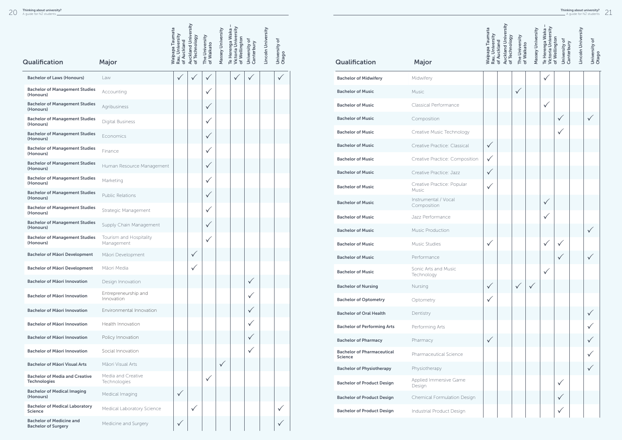| Qualification                                                              | Major                                 | <b>Waipapa Taumata</b><br>Rau, University<br>of Auckland | Auckland University<br>of Technology | The University<br>of Waikato | Massey University | Te Herenga Waka -<br>Victoria University<br>of Wellington | University of<br>Canterbury | Lincoln University | University of<br>Otago |
|----------------------------------------------------------------------------|---------------------------------------|----------------------------------------------------------|--------------------------------------|------------------------------|-------------------|-----------------------------------------------------------|-----------------------------|--------------------|------------------------|
|                                                                            |                                       |                                                          |                                      |                              |                   |                                                           |                             |                    |                        |
| <b>Bachelor of Laws (Honours)</b><br><b>Bachelor of Management Studies</b> | Law                                   | $\checkmark$                                             |                                      | ✓                            |                   |                                                           |                             |                    |                        |
| (Honours)                                                                  | Accounting                            |                                                          |                                      | ✓                            |                   |                                                           |                             |                    |                        |
| <b>Bachelor of Management Studies</b><br>(Honours)                         | Agribusiness                          |                                                          |                                      | $\checkmark$                 |                   |                                                           |                             |                    |                        |
| <b>Bachelor of Management Studies</b><br>(Honours)                         | <b>Digital Business</b>               |                                                          |                                      | $\checkmark$                 |                   |                                                           |                             |                    |                        |
| <b>Bachelor of Management Studies</b><br>(Honours)                         | Economics                             |                                                          |                                      | $\checkmark$                 |                   |                                                           |                             |                    |                        |
| <b>Bachelor of Management Studies</b><br>(Honours)                         | Finance                               |                                                          |                                      | $\checkmark$                 |                   |                                                           |                             |                    |                        |
| <b>Bachelor of Management Studies</b><br>(Honours)                         | Human Resource Management             |                                                          |                                      | $\checkmark$                 |                   |                                                           |                             |                    |                        |
| <b>Bachelor of Management Studies</b><br>(Honours)                         | Marketing                             |                                                          |                                      | $\checkmark$                 |                   |                                                           |                             |                    |                        |
| <b>Bachelor of Management Studies</b><br>(Honours)                         | <b>Public Relations</b>               |                                                          |                                      | $\checkmark$                 |                   |                                                           |                             |                    |                        |
| <b>Bachelor of Management Studies</b><br>(Honours)                         | Strategic Management                  |                                                          |                                      | $\checkmark$                 |                   |                                                           |                             |                    |                        |
| <b>Bachelor of Management Studies</b><br>(Honours)                         | Supply Chain Management               |                                                          |                                      | $\checkmark$                 |                   |                                                           |                             |                    |                        |
| <b>Bachelor of Management Studies</b><br>(Honours)                         | Tourism and Hospitality<br>Management |                                                          |                                      | $\checkmark$                 |                   |                                                           |                             |                    |                        |
| <b>Bachelor of Mäori Development</b>                                       | Māori Development                     |                                                          | $\checkmark$                         |                              |                   |                                                           |                             |                    |                        |
| <b>Bachelor of Mäori Development</b>                                       | Māori Media                           |                                                          | $\checkmark$                         |                              |                   |                                                           |                             |                    |                        |
| <b>Bachelor of Mäori Innovation</b>                                        | Design Innovation                     |                                                          |                                      |                              |                   |                                                           | $\checkmark$                |                    |                        |
| Bachelor of Māori Innovation                                               | Entrepreneurship and<br>Innovation    |                                                          |                                      |                              |                   |                                                           |                             |                    |                        |
| Bachelor of Māori Innovation                                               | Environmental Innovation              |                                                          |                                      |                              |                   |                                                           | $\checkmark$                |                    |                        |
| Bachelor of Māori Innovation                                               | Health Innovation                     |                                                          |                                      |                              |                   |                                                           |                             |                    |                        |
| <b>Bachelor of Mäori Innovation</b>                                        | Policy Innovation                     |                                                          |                                      |                              |                   |                                                           |                             |                    |                        |
| <b>Bachelor of Mäori Innovation</b>                                        | Social Innovation                     |                                                          |                                      |                              |                   |                                                           |                             |                    |                        |
| <b>Bachelor of Mäori Visual Arts</b>                                       | Māori Visual Arts                     |                                                          |                                      |                              | $\checkmark$      |                                                           |                             |                    |                        |
| <b>Bachelor of Media and Creative</b><br><b>Technologies</b>               | Media and Creative<br>Technologies    |                                                          |                                      | $\checkmark$                 |                   |                                                           |                             |                    |                        |
| <b>Bachelor of Medical Imaging</b><br>(Honours)                            | Medical Imaging                       | $\checkmark$                                             |                                      |                              |                   |                                                           |                             |                    |                        |
| <b>Bachelor of Medical Laboratory</b><br><b>Science</b>                    | Medical Laboratory Science            |                                                          | $\checkmark$                         |                              |                   |                                                           |                             |                    |                        |
| <b>Bachelor of Medicine and</b><br><b>Bachelor of Surgery</b>              | Medicine and Surgery                  | $\checkmark$                                             |                                      |                              |                   |                                                           |                             |                    |                        |

|                                                     |                                     | <b>Waipapa Taumata</b><br>Rau, University | <b>Auckland University</b><br>of Technology<br>of Auckland | The University<br>of Waikato | Massey University | Victoria University<br>Te Herenga Waka | of Wellington<br>University of<br>Canterbury | Lincoln University | University of<br>Otago |
|-----------------------------------------------------|-------------------------------------|-------------------------------------------|------------------------------------------------------------|------------------------------|-------------------|----------------------------------------|----------------------------------------------|--------------------|------------------------|
| Qualification                                       | Major                               |                                           |                                                            |                              |                   |                                        |                                              |                    |                        |
| <b>Bachelor of Midwifery</b>                        | Midwifery                           |                                           |                                                            |                              |                   |                                        |                                              |                    |                        |
| <b>Bachelor of Music</b>                            | Music                               |                                           |                                                            | ✓                            |                   |                                        |                                              |                    |                        |
| <b>Bachelor of Music</b>                            | Classical Performance               |                                           |                                                            |                              |                   |                                        |                                              |                    |                        |
| <b>Bachelor of Music</b>                            | Composition                         |                                           |                                                            |                              |                   |                                        |                                              |                    |                        |
| <b>Bachelor of Music</b>                            | Creative Music Technology           |                                           |                                                            |                              |                   |                                        |                                              |                    |                        |
| <b>Bachelor of Music</b>                            | Creative Practice: Classical        | $\checkmark$                              |                                                            |                              |                   |                                        |                                              |                    |                        |
| <b>Bachelor of Music</b>                            | Creative Practice: Composition      | $\checkmark$                              |                                                            |                              |                   |                                        |                                              |                    |                        |
| <b>Bachelor of Music</b>                            | Creative Practice: Jazz             | $\checkmark$                              |                                                            |                              |                   |                                        |                                              |                    |                        |
| <b>Bachelor of Music</b>                            | Creative Practice: Popular<br>Music |                                           |                                                            |                              |                   |                                        |                                              |                    |                        |
| <b>Bachelor of Music</b>                            | Instrumental / Vocal<br>Composition |                                           |                                                            |                              |                   |                                        |                                              |                    |                        |
| <b>Bachelor of Music</b>                            | Jazz Performance                    |                                           |                                                            |                              |                   |                                        |                                              |                    |                        |
| <b>Bachelor of Music</b>                            | <b>Music Production</b>             |                                           |                                                            |                              |                   |                                        |                                              |                    |                        |
| <b>Bachelor of Music</b>                            | Music Studies                       | ✓                                         |                                                            |                              |                   |                                        |                                              |                    |                        |
| <b>Bachelor of Music</b>                            | Performance                         |                                           |                                                            |                              |                   |                                        | V                                            |                    | ✓                      |
| <b>Bachelor of Music</b>                            | Sonic Arts and Music<br>Technology  |                                           |                                                            |                              |                   |                                        |                                              |                    |                        |
| <b>Bachelor of Nursing</b>                          | Nursing                             | $\checkmark$                              |                                                            | $\checkmark$                 |                   |                                        |                                              |                    |                        |
| <b>Bachelor of Optometry</b>                        | Optometry                           | $\checkmark$                              |                                                            |                              |                   |                                        |                                              |                    |                        |
| <b>Bachelor of Oral Health</b>                      | Dentistry                           |                                           |                                                            |                              |                   |                                        |                                              |                    |                        |
| <b>Bachelor of Performing Arts</b>                  | Performing Arts                     |                                           |                                                            |                              |                   |                                        |                                              |                    |                        |
| <b>Bachelor of Pharmacy</b>                         | Pharmacy                            | $\checkmark$                              |                                                            |                              |                   |                                        |                                              |                    |                        |
| <b>Bachelor of Pharmaceutical</b><br><b>Science</b> | Pharmaceutical Science              |                                           |                                                            |                              |                   |                                        |                                              |                    |                        |
| <b>Bachelor of Physiotherapy</b>                    | Physiotherapy                       |                                           |                                                            |                              |                   |                                        |                                              |                    |                        |
| <b>Bachelor of Product Design</b>                   | Applied Immersive Game<br>Design    |                                           |                                                            |                              |                   |                                        |                                              |                    |                        |
| <b>Bachelor of Product Design</b>                   | Chemical Formulation Design         |                                           |                                                            |                              |                   |                                        |                                              |                    |                        |
| <b>Bachelor of Product Design</b>                   | Industrial Product Design           |                                           |                                                            |                              |                   |                                        |                                              |                    |                        |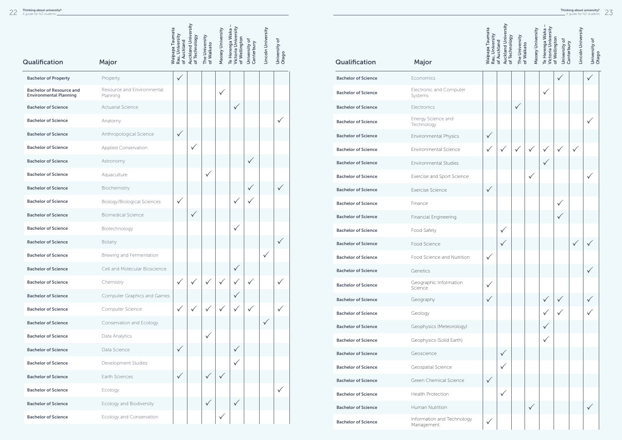|                                                                  |                                        |                                                          |                                             |                              |                   | T                                                       |                             |                    |                        |
|------------------------------------------------------------------|----------------------------------------|----------------------------------------------------------|---------------------------------------------|------------------------------|-------------------|---------------------------------------------------------|-----------------------------|--------------------|------------------------|
|                                                                  |                                        | <b>Waipapa Taumata</b><br>Rau, University<br>of Auckland | <b>Auckland University</b><br>of Technology | The University<br>of Waikato | Massey University | Victoria University<br>Te Herenga Waka<br>of Wellington | University of<br>Canterbury | Lincoln University | University of<br>Otago |
| Qualification                                                    | Major                                  |                                                          |                                             |                              |                   |                                                         |                             |                    |                        |
| <b>Bachelor of Property</b>                                      | Property                               | $\checkmark$                                             |                                             |                              |                   |                                                         |                             |                    |                        |
| <b>Bachelor of Resource and</b><br><b>Environmental Planning</b> | Resource and Environmental<br>Planning |                                                          |                                             |                              | $\checkmark$      |                                                         |                             |                    |                        |
| <b>Bachelor of Science</b>                                       | <b>Actuarial Science</b>               |                                                          |                                             |                              |                   | $\checkmark$                                            |                             |                    |                        |
| <b>Bachelor of Science</b>                                       | Anatomy                                |                                                          |                                             |                              |                   |                                                         |                             |                    |                        |
| <b>Bachelor of Science</b>                                       | Anthropological Science                | $\checkmark$                                             |                                             |                              |                   |                                                         |                             |                    |                        |
| <b>Bachelor of Science</b>                                       | Applied Conservation                   |                                                          | $\checkmark$                                |                              |                   |                                                         |                             |                    |                        |
| <b>Bachelor of Science</b>                                       | Astronomy                              |                                                          |                                             |                              |                   |                                                         | $\checkmark$                |                    |                        |
| <b>Bachelor of Science</b>                                       | Aquaculture                            |                                                          |                                             | $\checkmark$                 |                   |                                                         |                             |                    |                        |
| <b>Bachelor of Science</b>                                       | Biochemistry                           |                                                          |                                             |                              |                   |                                                         | $\checkmark$                |                    | $\checkmark$           |
| <b>Bachelor of Science</b>                                       | <b>Biology/Biological Sciences</b>     | $\checkmark$                                             |                                             |                              |                   | $\checkmark$                                            | $\checkmark$                |                    |                        |
| <b>Bachelor of Science</b>                                       | <b>Biomedical Science</b>              |                                                          | $\checkmark$                                |                              |                   |                                                         |                             |                    |                        |
| <b>Bachelor of Science</b>                                       | Biotechnology                          |                                                          |                                             |                              |                   | $\checkmark$                                            |                             |                    |                        |
| <b>Bachelor of Science</b>                                       | Botany                                 |                                                          |                                             |                              |                   |                                                         |                             |                    |                        |
| <b>Bachelor of Science</b>                                       | Brewing and Fermentation               |                                                          |                                             |                              |                   |                                                         |                             |                    |                        |
| <b>Bachelor of Science</b>                                       | Cell and Molecular Bioscience          |                                                          |                                             |                              |                   | $\checkmark$                                            |                             |                    |                        |
| <b>Bachelor of Science</b>                                       | Chemistry                              | $\checkmark$                                             | $\checkmark$                                | $\checkmark$                 | $\checkmark$      |                                                         | $\checkmark$                |                    | $\checkmark$           |
| <b>Bachelor of Science</b>                                       | <b>Computer Graphics and Games</b>     |                                                          |                                             |                              |                   | $\checkmark$                                            |                             |                    |                        |
| <b>Bachelor of Science</b>                                       | Computer Science                       | $\checkmark$                                             | $\checkmark$                                | $\checkmark$                 | $\checkmark$      | $\checkmark$                                            | $\checkmark$                |                    |                        |
| <b>Bachelor of Science</b>                                       | Conservation and Ecology               |                                                          |                                             |                              |                   |                                                         |                             | $\checkmark$       |                        |
| <b>Bachelor of Science</b>                                       | Data Analytics                         |                                                          |                                             | $\checkmark$                 |                   |                                                         |                             |                    |                        |
| <b>Bachelor of Science</b>                                       | Data Science                           | $\checkmark$                                             |                                             |                              |                   | $\checkmark$                                            |                             |                    |                        |
| <b>Bachelor of Science</b>                                       | Development Studies                    |                                                          |                                             |                              |                   | $\checkmark$                                            |                             |                    |                        |
| <b>Bachelor of Science</b>                                       | Earth Sciences                         | $\checkmark$                                             |                                             | $\checkmark$                 | $\checkmark$      |                                                         |                             |                    |                        |
| <b>Bachelor of Science</b>                                       | Ecology                                |                                                          |                                             |                              |                   |                                                         |                             |                    | $\checkmark$           |
| <b>Bachelor of Science</b>                                       | Ecology and Biodiversity               |                                                          |                                             | $\checkmark$                 |                   | $\checkmark$                                            |                             |                    |                        |
| <b>Bachelor of Science</b>                                       | Ecology and Conservation               |                                                          |                                             |                              |                   |                                                         |                             |                    |                        |

| Qualification              | Major                                    |
|----------------------------|------------------------------------------|
| <b>Bachelor of Science</b> | <b>Economics</b>                         |
| <b>Bachelor of Science</b> | Electronic and Computer<br>Systems       |
| <b>Bachelor of Science</b> | Electronics                              |
| <b>Bachelor of Science</b> | Energy Science and<br>Technology         |
| <b>Bachelor of Science</b> | <b>Environmental Physics</b>             |
| <b>Bachelor of Science</b> | <b>Environmental Science</b>             |
| <b>Bachelor of Science</b> | <b>Environmental Studies</b>             |
| <b>Bachelor of Science</b> | Exercise and Sport Science               |
| <b>Bachelor of Science</b> | Exercise Science                         |
| <b>Bachelor of Science</b> | Finance                                  |
| <b>Bachelor of Science</b> | <b>Financial Engineering</b>             |
| <b>Bachelor of Science</b> | Food Safety                              |
| <b>Bachelor of Science</b> | Food Science                             |
| <b>Bachelor of Science</b> | Food Science and Nutrition               |
| <b>Bachelor of Science</b> | Genetics                                 |
| <b>Bachelor of Science</b> | Geographic Information<br>Science        |
| <b>Bachelor of Science</b> | Geography                                |
| <b>Bachelor of Science</b> | Geology                                  |
| <b>Bachelor of Science</b> | Geophysics (Meteorology)                 |
| <b>Bachelor of Science</b> | Geophysics (Solid Earth)                 |
| <b>Bachelor of Science</b> | Geoscience                               |
| <b>Bachelor of Science</b> | Geospatial Science                       |
| <b>Bachelor of Science</b> | Green Chemical Science                   |
| <b>Bachelor of Science</b> | <b>Health Protection</b>                 |
| <b>Bachelor of Science</b> | Human Nutrition                          |
| <b>Bachelor of Science</b> | Information and Technology<br>Management |

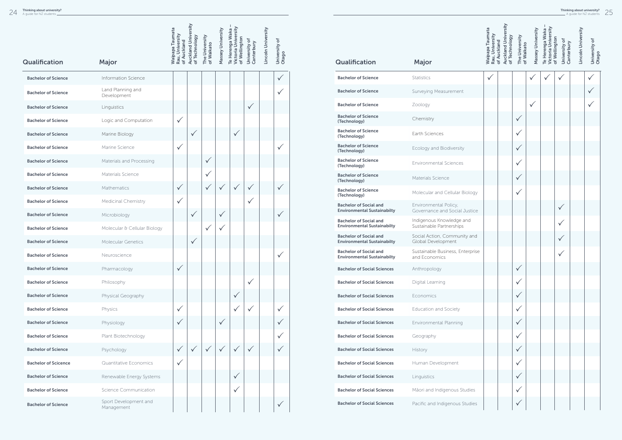|                             |                                     | <b>Waipapa Taumata</b>         | <b>Auckland University</b> |                              | Massey University | Victoria University<br>Te Herenga Waka |                             | Lincoln University |                        |
|-----------------------------|-------------------------------------|--------------------------------|----------------------------|------------------------------|-------------------|----------------------------------------|-----------------------------|--------------------|------------------------|
| <b>Qualification</b>        | Major                               | Rau, University<br>of Auckland | of Technology              | The University<br>of Waikato |                   | of Wellington                          | University of<br>Canterbury |                    | University of<br>Otago |
| <b>Bachelor of Science</b>  | Information Science                 |                                |                            |                              |                   |                                        |                             |                    | $\checkmark$           |
| <b>Bachelor of Science</b>  | Land Planning and<br>Development    |                                |                            |                              |                   |                                        |                             |                    |                        |
| <b>Bachelor of Science</b>  | Linguistics                         |                                |                            |                              |                   |                                        | $\checkmark$                |                    |                        |
| <b>Bachelor of Science</b>  | Logic and Computation               | $\checkmark$                   |                            |                              |                   |                                        |                             |                    |                        |
| <b>Bachelor of Science</b>  | Marine Biology                      |                                | $\checkmark$               |                              |                   | $\checkmark$                           |                             |                    |                        |
| <b>Bachelor of Science</b>  | Marine Science                      | $\checkmark$                   |                            |                              |                   |                                        |                             |                    |                        |
| <b>Bachelor of Science</b>  | Materials and Processing            |                                |                            | $\checkmark$                 |                   |                                        |                             |                    |                        |
| <b>Bachelor of Science</b>  | Materials Science                   |                                |                            | $\checkmark$                 |                   |                                        |                             |                    |                        |
| <b>Bachelor of Science</b>  | Mathematics                         | $\checkmark$                   |                            | $\checkmark$                 | $\checkmark$      | $\checkmark$                           | $\checkmark$                |                    |                        |
| <b>Bachelor of Science</b>  | Medicinal Chemistry                 | $\checkmark$                   |                            |                              |                   |                                        | $\checkmark$                |                    |                        |
| <b>Bachelor of Science</b>  | Microbiology                        |                                | $\checkmark$               |                              | $\checkmark$      |                                        |                             |                    |                        |
| <b>Bachelor of Science</b>  | Molecular & Cellular Biology        |                                |                            | $\checkmark$                 | $\checkmark$      |                                        |                             |                    |                        |
| <b>Bachelor of Science</b>  | <b>Molecular Genetics</b>           |                                | $\checkmark$               |                              |                   |                                        |                             |                    |                        |
| <b>Bachelor of Science</b>  | Neuroscience                        |                                |                            |                              |                   |                                        |                             |                    |                        |
| <b>Bachelor of Science</b>  | Pharmacology                        | $\checkmark$                   |                            |                              |                   |                                        |                             |                    |                        |
| <b>Bachelor of Science</b>  | Philosophy                          |                                |                            |                              |                   |                                        | ✓                           |                    |                        |
| <b>Bachelor of Science</b>  | Physical Geography                  |                                |                            |                              |                   | ✓                                      |                             |                    |                        |
| <b>Bachelor of Science</b>  | Physics                             | $\checkmark$                   |                            |                              |                   | $\checkmark$                           | $\checkmark$                |                    | $\checkmark$           |
| <b>Bachelor of Science</b>  | Physiology                          | $\checkmark$                   |                            |                              | $\checkmark$      |                                        |                             |                    |                        |
| <b>Bachelor of Science</b>  | Plant Biotechnology                 |                                |                            |                              |                   |                                        |                             |                    |                        |
| <b>Bachelor of Science</b>  | Psychology                          | $\checkmark$                   |                            |                              |                   |                                        | $\checkmark$                |                    |                        |
| <b>Bachelor of Scicence</b> | Quantitative Economics              | $\checkmark$                   |                            |                              |                   |                                        |                             |                    |                        |
| <b>Bachelor of Science</b>  | Renewable Energy Systems            |                                |                            |                              |                   | $\checkmark$                           |                             |                    |                        |
| <b>Bachelor of Science</b>  | <b>Science Communication</b>        |                                |                            |                              |                   | $\checkmark$                           |                             |                    |                        |
| <b>Bachelor of Science</b>  | Sport Development and<br>Management |                                |                            |                              |                   |                                        |                             |                    | $\checkmark$           |

|                                                                     |                                                        | <b>Waipapa Taumata</b><br>Rau, University | <b>Auckland University</b><br>of Technology<br>of Auckland | The University<br>of Waikato | Massey University | Victoria University<br>of Wellington<br>Te Herenga Waka | University of<br>Canterbury | Lincoln University | University of |
|---------------------------------------------------------------------|--------------------------------------------------------|-------------------------------------------|------------------------------------------------------------|------------------------------|-------------------|---------------------------------------------------------|-----------------------------|--------------------|---------------|
| Qualification                                                       | <b>Major</b>                                           |                                           |                                                            |                              |                   |                                                         |                             |                    | Otago         |
| <b>Bachelor of Science</b>                                          | <b>Statistics</b>                                      | ✓                                         |                                                            |                              |                   |                                                         |                             |                    |               |
| <b>Bachelor of Science</b>                                          | Surveying Measurement                                  |                                           |                                                            |                              |                   |                                                         |                             |                    |               |
| <b>Bachelor of Science</b>                                          | Zoology                                                |                                           |                                                            |                              | $\checkmark$      |                                                         |                             |                    |               |
| <b>Bachelor of Science</b><br>(Technology)                          | Chemistry                                              |                                           |                                                            | ✓                            |                   |                                                         |                             |                    |               |
| <b>Bachelor of Science</b><br>(Technology)                          | Earth Sciences                                         |                                           |                                                            |                              |                   |                                                         |                             |                    |               |
| <b>Bachelor of Science</b><br>(Technology)                          | Ecology and Biodiversity                               |                                           |                                                            | $\checkmark$                 |                   |                                                         |                             |                    |               |
| <b>Bachelor of Science</b><br>(Technology)                          | <b>Environmental Sciences</b>                          |                                           |                                                            | $\checkmark$                 |                   |                                                         |                             |                    |               |
| <b>Bachelor of Science</b><br>(Technology)                          | Materials Science                                      |                                           |                                                            | $\checkmark$                 |                   |                                                         |                             |                    |               |
| <b>Bachelor of Science</b><br>(Technology)                          | Molecular and Cellular Biology                         |                                           |                                                            | $\checkmark$                 |                   |                                                         |                             |                    |               |
| <b>Bachelor of Social and</b><br><b>Environmental Sustainabilty</b> | Environmental Policy,<br>Governance and Social Justice |                                           |                                                            |                              |                   |                                                         |                             |                    |               |
| <b>Bachelor of Social and</b><br><b>Environmental Sustainabilty</b> | Indigenous Knowledge and<br>Sustainable Partnerships   |                                           |                                                            |                              |                   |                                                         |                             |                    |               |
| <b>Bachelor of Social and</b><br><b>Environmental Sustainabilty</b> | Social Action, Community and<br>Global Development     |                                           |                                                            |                              |                   |                                                         |                             |                    |               |
| <b>Bachelor of Social and</b><br><b>Environmental Sustainabilty</b> | Sustainable Business, Enterprise<br>and Economics      |                                           |                                                            |                              |                   |                                                         |                             |                    |               |
| <b>Bachelor of Social Sciences</b>                                  | Anthropology                                           |                                           |                                                            | $\checkmark$                 |                   |                                                         |                             |                    |               |
| <b>Bachelor of Social Sciences</b>                                  | Digital Learning                                       |                                           |                                                            | ✓                            |                   |                                                         |                             |                    |               |
| <b>Bachelor of Social Sciences</b>                                  | Economics                                              |                                           |                                                            | $\checkmark$                 |                   |                                                         |                             |                    |               |
| <b>Bachelor of Social Sciences</b>                                  | <b>Education and Society</b>                           |                                           |                                                            | $\checkmark$                 |                   |                                                         |                             |                    |               |
| <b>Bachelor of Social Sciences</b>                                  | Environmental Planning                                 |                                           |                                                            | $\checkmark$                 |                   |                                                         |                             |                    |               |
| <b>Bachelor of Social Sciences</b>                                  | Geography                                              |                                           |                                                            | $\checkmark$                 |                   |                                                         |                             |                    |               |
| <b>Bachelor of Social Sciences</b>                                  | History                                                |                                           |                                                            | $\checkmark$                 |                   |                                                         |                             |                    |               |
| <b>Bachelor of Social Sciences</b>                                  | Human Development                                      |                                           |                                                            |                              |                   |                                                         |                             |                    |               |
| <b>Bachelor of Social Sciences</b>                                  | Linguistics                                            |                                           |                                                            | $\checkmark$                 |                   |                                                         |                             |                    |               |
| <b>Bachelor of Social Sciences</b>                                  | Māori and Indigenous Studies                           |                                           |                                                            | $\checkmark$                 |                   |                                                         |                             |                    |               |
| <b>Bachelor of Social Sciences</b>                                  | Pacific and Indigenous Studies                         |                                           |                                                            | $\checkmark$                 |                   |                                                         |                             |                    |               |